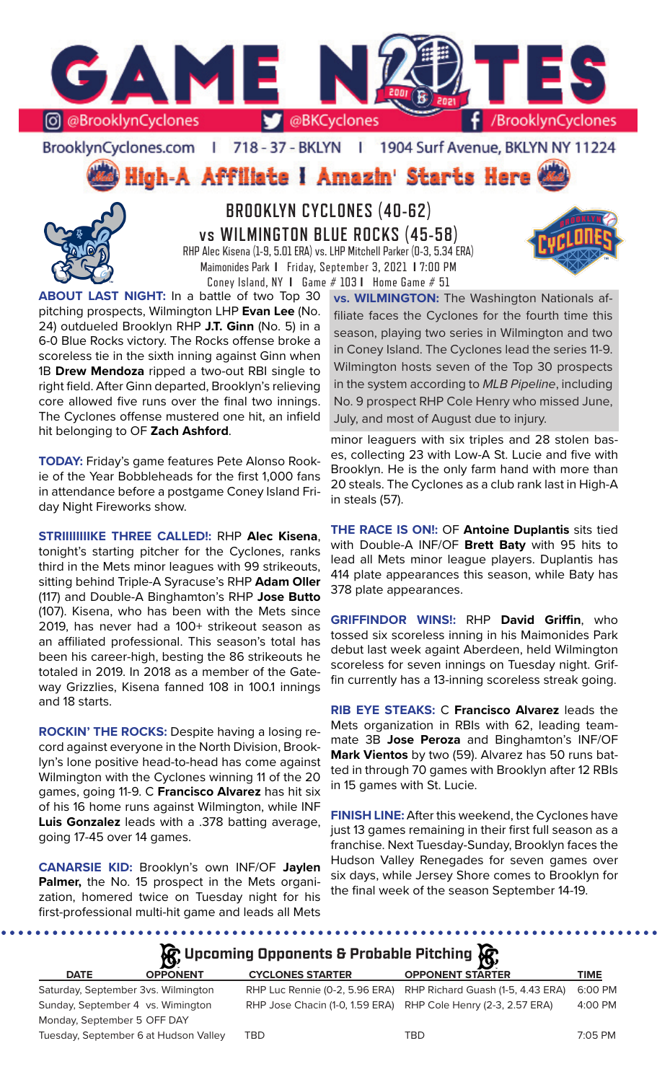

BrooklynCyclones.com | 718 - 37 - BKLYN | 1904 Surf Avenue, BKLYN NY 11224

**High-A Affiliate I Amazin' Starts Here** 



**BROOKLYN CYCLONES (40-62) vs WILMINGTON BLUE ROCKS (45-58)** RHP Alec Kisena (1-9, 5.01 ERA) vs. LHP Mitchell Parker (0-3, 5.34 ERA) Maimonides Park **I** Friday, September 3, 2021 **I** 7:00 PM Coney Island, NY **I** Game # 103 **I** Home Game # 51

**ABOUT LAST NIGHT:** In a battle of two Top 30 pitching prospects, Wilmington LHP **Evan Lee** (No. 24) outdueled Brooklyn RHP **J.T. Ginn** (No. 5) in a 6-0 Blue Rocks victory. The Rocks offense broke a scoreless tie in the sixth inning against Ginn when 1B **Drew Mendoza** ripped a two-out RBI single to right field. After Ginn departed, Brooklyn's relieving core allowed five runs over the final two innings. The Cyclones offense mustered one hit, an infield hit belonging to OF **Zach Ashford**.

**TODAY:** Friday's game features Pete Alonso Rookie of the Year Bobbleheads for the first 1,000 fans in attendance before a postgame Coney Island Friday Night Fireworks show.

**STRIIIIIIIIKE THREE CALLED!:** RHP **Alec Kisena**, tonight's starting pitcher for the Cyclones, ranks third in the Mets minor leagues with 99 strikeouts, sitting behind Triple-A Syracuse's RHP **Adam Oller**  (117) and Double-A Binghamton's RHP **Jose Butto**  (107). Kisena, who has been with the Mets since 2019, has never had a 100+ strikeout season as an affiliated professional. This season's total has been his career-high, besting the 86 strikeouts he totaled in 2019. In 2018 as a member of the Gateway Grizzlies, Kisena fanned 108 in 100.1 innings and 18 starts.

**ROCKIN' THE ROCKS:** Despite having a losing record against everyone in the North Division, Brooklyn's lone positive head-to-head has come against Wilmington with the Cyclones winning 11 of the 20 games, going 11-9. C **Francisco Alvarez** has hit six of his 16 home runs against Wilmington, while INF **Luis Gonzalez** leads with a .378 batting average, going 17-45 over 14 games.

**CANARSIE KID:** Brooklyn's own INF/OF **Jaylen Palmer,** the No. 15 prospect in the Mets organization, homered twice on Tuesday night for his first-professional multi-hit game and leads all Mets

**vs. WILMINGTON:** The Washington Nationals affiliate faces the Cyclones for the fourth time this season, playing two series in Wilmington and two in Coney Island. The Cyclones lead the series 11-9. Wilmington hosts seven of the Top 30 prospects in the system according to *MLB Pipeline*, including No. 9 prospect RHP Cole Henry who missed June, July, and most of August due to injury.

minor leaguers with six triples and 28 stolen bases, collecting 23 with Low-A St. Lucie and five with Brooklyn. He is the only farm hand with more than 20 steals. The Cyclones as a club rank last in High-A in steals (57).

**THE RACE IS ON!:** OF **Antoine Duplantis** sits tied with Double-A INF/OF **Brett Baty** with 95 hits to lead all Mets minor league players. Duplantis has 414 plate appearances this season, while Baty has 378 plate appearances.

**GRIFFINDOR WINS!:** RHP **David Griffin**, who tossed six scoreless inning in his Maimonides Park debut last week againt Aberdeen, held Wilmington scoreless for seven innings on Tuesday night. Griffin currently has a 13-inning scoreless streak going.

**RIB EYE STEAKS:** C **Francisco Alvarez** leads the Mets organization in RBIs with 62, leading teammate 3B **Jose Peroza** and Binghamton's INF/OF **Mark Vientos** by two (59). Alvarez has 50 runs batted in through 70 games with Brooklyn after 12 RBIs in 15 games with St. Lucie.

**FINISH LINE:** After this weekend, the Cyclones have just 13 games remaining in their first full season as a franchise. Next Tuesday-Sunday, Brooklyn faces the Hudson Valley Renegades for seven games over six days, while Jersey Shore comes to Brooklyn for the final week of the season September 14-19.

# **A**: Upcoming Opponents & Probable Pitching

|                             | $\mathbf{v}$                          |                                | $\mathbf{v}$                                                   |             |
|-----------------------------|---------------------------------------|--------------------------------|----------------------------------------------------------------|-------------|
| <b>DATE</b>                 | <b>OPPONENT</b>                       | <b>CYCLONES STARTER</b>        | <b>OPPONENT STARTER</b>                                        | <b>TIME</b> |
|                             | Saturday, September 3vs. Wilmington   | RHP Luc Rennie (0-2, 5.96 ERA) | RHP Richard Guash (1-5, 4.43 ERA)                              | 6:00 PM     |
|                             | Sunday, September 4 vs. Wimington     |                                | RHP Jose Chacin (1-0, 1.59 ERA) RHP Cole Henry (2-3, 2.57 ERA) | 4:00 PM     |
| Monday, September 5 OFF DAY |                                       |                                |                                                                |             |
|                             | Tuesday, September 6 at Hudson Valley | TBD                            | TBD                                                            | 7:05 PM     |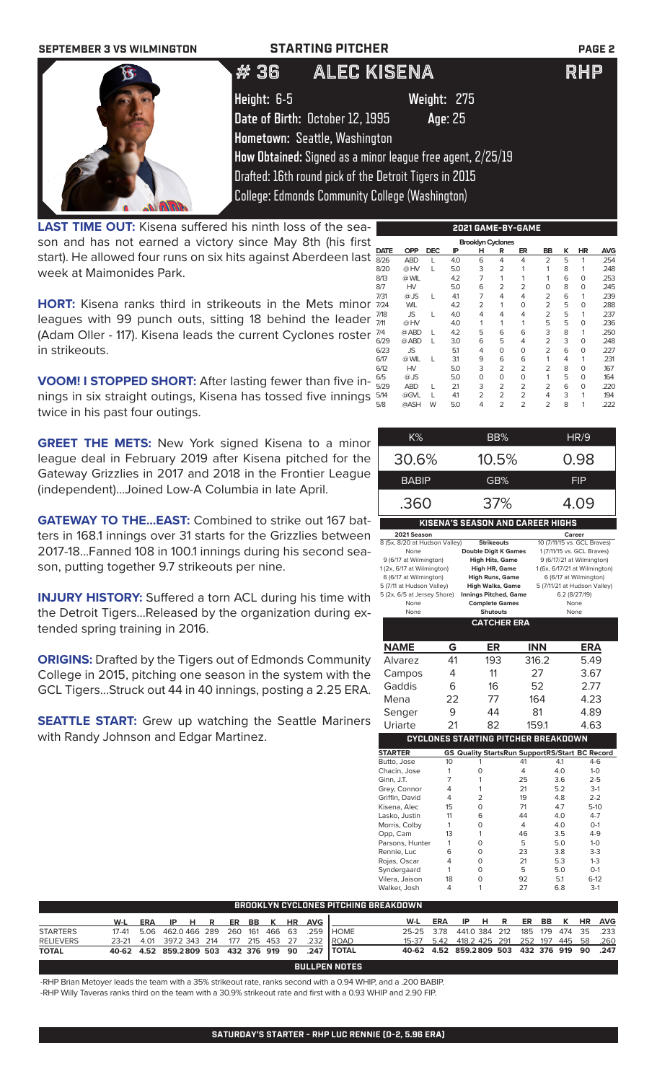| <b>SEPTEMBER 3 VS WILMINGTON</b> |             | <b>STARTING PITCHER</b>                                    | <b>PAGE 2</b> |
|----------------------------------|-------------|------------------------------------------------------------|---------------|
|                                  | #36         | <b>ALEC KISENA</b>                                         | <b>RHP</b>    |
|                                  | Height: 6-5 | Weight: 275                                                |               |
|                                  |             | Date of Birth: October 12, 1995<br>Age: 25                 |               |
|                                  |             | Hometown: Seattle, Washington                              |               |
|                                  |             | How Obtained: Signed as a minor league free agent, 2/25/19 |               |
|                                  |             | Drafted: 16th round pick of the Detroit Tigers in 2015     |               |
|                                  |             | <b>College: Edmonds Community College (Washington)</b>     |               |

**LAST TIME OUT:** Kisena suffered his ninth loss of the season and has not earned a victory since May 8th (his first start). He allowed four runs on six hits against Aberdeen last week at Maimonides Park.

**HORT:** Kisena ranks third in strikeouts in the Mets minor leagues with 99 punch outs, sitting 18 behind the leader (Adam Oller - 117). Kisena leads the current Cyclones roster in strikeouts.

**VOOM! I STOPPED SHORT:** After lasting fewer than five innings in six straight outings, Kisena has tossed five innings twice in his past four outings.

**GREET THE METS:** New York signed Kisena to a minor league deal in February 2019 after Kisena pitched for the Gateway Grizzlies in 2017 and 2018 in the Frontier League (independent)...Joined Low-A Columbia in late April.

**GATEWAY TO THE...EAST:** Combined to strike out 167 batters in 168.1 innings over 31 starts for the Grizzlies between 2017-18...Fanned 108 in 100.1 innings during his second season, putting together 9.7 strikeouts per nine.

**INJURY HISTORY:** Suffered a torn ACL during his time with the Detroit Tigers...Released by the organization during extended spring training in 2016.

**ORIGINS:** Drafted by the Tigers out of Edmonds Community College in 2015, pitching one season in the system with the GCL Tigers...Struck out 44 in 40 innings, posting a 2.25 ERA.

**SEATTLE START:** Grew up watching the Seattle Mariners with Randy Johnson and Edgar Martinez.

| 2021 GAME-BY-GAME |                          |            |     |   |                |                |                |   |             |            |  |  |
|-------------------|--------------------------|------------|-----|---|----------------|----------------|----------------|---|-------------|------------|--|--|
|                   | <b>Brooklyn Cyclones</b> |            |     |   |                |                |                |   |             |            |  |  |
| <b>DATE</b>       | <b>OPP</b>               | <b>DEC</b> | ΙP  | н | R              | ER             | <b>BB</b>      | ĸ | HR          | <b>AVG</b> |  |  |
| 8/26              | <b>ABD</b>               | L          | 4.0 | 6 | 4              | 4              | 2              | 5 | 1           | .254       |  |  |
| 8/20              | @HV                      | L          | 5.0 | 3 | $\overline{2}$ | 1              | 1              | 8 | 1           | .248       |  |  |
| 8/13              | @ WIL                    |            | 4.2 | 7 | 1              |                | 1              | 6 | $\Omega$    | .253       |  |  |
| 8/7               | HV                       |            | 5.0 | 6 | $\overline{2}$ | 2              | 0              | 8 | $\Omega$    | .245       |  |  |
| 7/31              | $@$ JS                   | L          | 41  | 7 | 4              | 4              | $\overline{2}$ | 6 | 1           | .239       |  |  |
| 7/24              | <b>WIL</b>               |            | 4.2 | 2 |                | O              | 2              | 5 | $\mathbf 0$ | .288       |  |  |
| 7/18              | JS                       | L          | 4.0 | 4 | 4              | 4              | 2              | 5 | 1           | .237       |  |  |
| 7/11              | @HV                      |            | 4.0 | 1 | 1              | 1              | 5              | 5 | 0           | .236       |  |  |
| 7/4               | @ ABD                    | L          | 4.2 | 5 | 6              | 6              | 3              | 8 | 1           | .250       |  |  |
| 6/29              | @ ABD                    | L          | 3.0 | 6 | 5              | 4              | $\overline{2}$ | 3 | $\Omega$    | .248       |  |  |
| 6/23              | <b>JS</b>                |            | 5.1 | 4 | $\circ$        | 0              | 2              | 6 | 0           | .227       |  |  |
| 6/17              | @ WIL                    | L          | 3.1 | 9 | 6              | 6              | 1              | 4 | 1           | .231       |  |  |
| 6/12              | HV                       |            | 5.0 | 3 | 2              | $\overline{2}$ | 2              | 8 | $\Omega$    | .167       |  |  |
| 6/5               | $@$ JS                   |            | 5.0 | O | $\Omega$       | O              | 1              | 5 | $\Omega$    | .164       |  |  |
| 5/29              | <b>ABD</b>               | L          | 21  | 3 | 2              | $\overline{2}$ | $\overline{2}$ | 6 | $\Omega$    | .220       |  |  |
| 5/14              | @GVL                     | L          | 41  | 2 | 2              | $\overline{2}$ | 4              | 3 | 1           | .194       |  |  |
| 5/8               | @ASH                     | W          | 5.0 | 4 | 2              | 2              | 2              | 8 | 1           | .222       |  |  |
|                   |                          |            |     |   |                |                |                |   |             |            |  |  |

| K%                                      | BB%   | HR/9 |  |  |  |  |  |
|-----------------------------------------|-------|------|--|--|--|--|--|
| 30.6%                                   | 10.5% | 0.98 |  |  |  |  |  |
| <b>BABIP</b>                            | GB%   | FIP  |  |  |  |  |  |
| .360                                    | 37%   | 4.09 |  |  |  |  |  |
| <b>KISENA'S SEASON AND CAREER HIGHS</b> |       |      |  |  |  |  |  |

| 2021 Season                   |                              | Career                        |
|-------------------------------|------------------------------|-------------------------------|
| 8 (5x, 8/20 at Hudson Valley) | <b>Strikeouts</b>            | 10 (7/11/15 vs. GCL Braves)   |
| None                          | <b>Double Digit K Games</b>  | 1 (7/11/15 vs. GCL Braves)    |
| 9 (6/17 at Wilmington)        | <b>High Hits, Game</b>       | 9 (6/17/21 at Wilmington)     |
| 1 (2x, 6/17 at Wilmington)    | High HR, Game                | 1 (6x, 6/17/21 at Wilmington) |
| 6 (6/17 at Wilmington)        | <b>High Runs, Game</b>       | 6 (6/17 at Wilmington)        |
| 5 (7/11 at Hudson Valley)     | <b>High Walks, Game</b>      | 5 (7/11/21 at Hudson Valley)  |
| 5 (2x, 6/5 at Jersey Shore)   | <b>Innings Pitched, Game</b> | 6.2 (8/27/19)                 |
| None                          | <b>Complete Games</b>        | None                          |
| None                          | <b>Shutouts</b>              | None                          |
|                               | <b>CATCHER ERA</b>           |                               |

| <b>NAME</b>     | G  | ER                                                 | <b>INN</b> |     | ERA     |
|-----------------|----|----------------------------------------------------|------------|-----|---------|
| Alvarez         | 41 | 193                                                | 316.2      |     | 5.49    |
| Campos          | 4  | 11                                                 | 27         |     | 3.67    |
| Gaddis          | 6  | 16                                                 | 52         |     | 2.77    |
| Mena            | 22 | 77                                                 | 164        |     | 4.23    |
| Senger          | 9  | 44                                                 | 81         |     | 4.89    |
| Uriarte         | 21 | 82                                                 | 159.1      |     | 4.63    |
|                 |    | <b>CYCLONES STARTING PITCHER BREAKDOWN</b>         |            |     |         |
| <b>STARTER</b>  | GS | <b>Quality StartsRun SupportRS/Start BC Record</b> |            |     |         |
| Butto, Jose     | 10 | 1                                                  | 41         | 4.1 | $4-6$   |
| Chacin, Jose    | 1  | 0                                                  | 4          | 4.0 | $1-0$   |
| Ginn, J.T.      | 7  | 1                                                  | 25         | 3.6 | $2 - 5$ |
| Grey, Connor    | 4  | 1                                                  | 21         | 5.2 | $3-1$   |
| Griffin, David  | 4  | $\overline{2}$                                     | 19         | 4.8 | $2 - 2$ |
| Kisena, Alec    | 15 | $\Omega$                                           | 71         | 4.7 | $5-10$  |
| Lasko, Justin   | 11 | 6                                                  | 44         | 4.0 | $4 - 7$ |
| Morris, Colby   | 1  | 0                                                  | 4          | 4.0 | $O-1$   |
| Opp, Cam        | 13 | 1                                                  | 46         | 3.5 | $4 - 9$ |
| Parsons, Hunter | 1  | 0                                                  | 5          | 5.0 | $1 - 0$ |
| Rennie, Luc     | 6  | 0                                                  | 23         | 3.8 | $3-3$   |
| Rojas, Oscar    | 4  | 0                                                  | 21         | 5.3 | $1 - 3$ |
| Syndergaard     | 1  | 0                                                  | 5          | 5.0 | $O-1$   |
| Vilera, Jaison  | 18 | 0                                                  | 92         | 5.1 | $6-12$  |

vieta, Jaison is viet by the viet by the viet by the viet by the viet by the viet by the viet by the viet by t<br>Walker, Josh 4 1 27 6.8 3-1

| BROOKLYN CYCLONES PITCHING BREAKDOWN |                                        |     |                                  |  |  |         |  |  |    |      |                       |                                              |     |               |     |     |         |           |            |
|--------------------------------------|----------------------------------------|-----|----------------------------------|--|--|---------|--|--|----|------|-----------------------|----------------------------------------------|-----|---------------|-----|-----|---------|-----------|------------|
|                                      | W-L                                    | ERA | IPHR                             |  |  | ER BB K |  |  | HR | AVG  |                       | W-L                                          | ERA | IP HR         |     |     | ER BB K | <b>HR</b> | <b>AVG</b> |
| <b>STARTERS</b>                      | 17-41                                  |     | 5.06 462.0466 289 260 161 466 63 |  |  |         |  |  |    | .259 | <b>I</b> HOME         | 25-25 378                                    |     | 441.0 384 212 | 185 | 179 | 474     | 35        | .233       |
| <b>RELIEVERS</b>                     | 23-21 4.01                             |     | 397.2 343 214 177 215 453 27     |  |  |         |  |  |    | .232 | <b>ROAD</b>           | 15-37 5.42 418.2 425 291 252 197 445 58 .260 |     |               |     |     |         |           |            |
| <b>TOTAL</b>                         | 40-62 4.52 859.2809 503 432 376 919 90 |     |                                  |  |  |         |  |  |    |      | .247   TOTAL          | 40-62 4.52 859.2809 503 432 376 919 90 .247  |     |               |     |     |         |           |            |
|                                      |                                        |     |                                  |  |  |         |  |  |    |      | <b>BULLPEN NOTES.</b> |                                              |     |               |     |     |         |           |            |

-RHP Brian Metoyer leads the team with a 35% strikeout rate, ranks second with a 0.94 WHIP, and a .200 BABIP. -RHP Willy Taveras ranks third on the team with a 30.9% strikeout rate and first with a 0.93 WHIP and 2.90 FIP.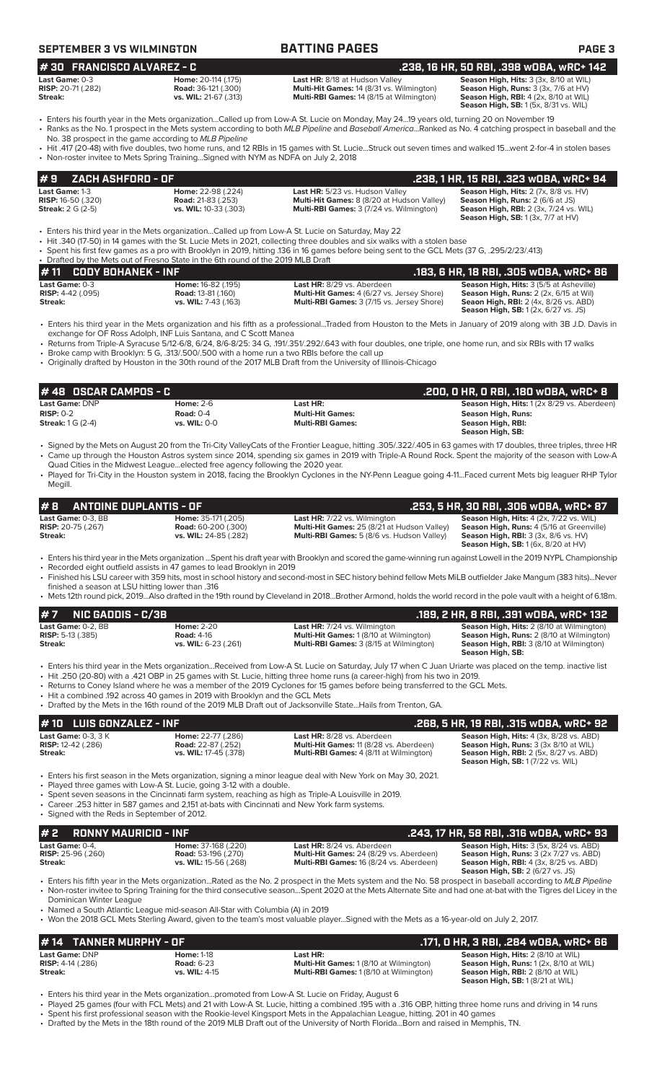| <b>SEPTEMBER 3 VS WILMINGTON</b>                                                          |                                                                                               | <b>BATTING PAGES</b>                                                                                                                                                                                                                                                                                                                                                           | PAGE <sub>3</sub>                                                                                                                                                  |
|-------------------------------------------------------------------------------------------|-----------------------------------------------------------------------------------------------|--------------------------------------------------------------------------------------------------------------------------------------------------------------------------------------------------------------------------------------------------------------------------------------------------------------------------------------------------------------------------------|--------------------------------------------------------------------------------------------------------------------------------------------------------------------|
| #30 FRANCISCO ALVAREZ - C                                                                 |                                                                                               |                                                                                                                                                                                                                                                                                                                                                                                | .238, 16 HR, 50 RBI, .398 w0BA, wRC+ 142                                                                                                                           |
| Last Game: 0-3<br><b>RISP:</b> 20-71 (.282)<br>Streak:                                    | Home: 20-114 (.175)<br><b>Road: 36-121 (.300)</b><br>vs. WIL: 21-67 (.313)                    | Last HR: 8/18 at Hudson Valley<br>Multi-Hit Games: 14 (8/31 vs. Wilmington)<br>Multi-RBI Games: 14 (8/15 at Wilmington)                                                                                                                                                                                                                                                        | Season High, Hits: 3 (3x, 8/10 at WIL)<br>Season High, Runs: 3 (3x, 7/6 at HV)<br>Season High, RBI: 4 (2x, 8/10 at WIL)<br>Season High, SB: 1 (5x, 8/31 vs. WIL)   |
|                                                                                           | No. 38 prospect in the game according to MLB Pipeline                                         | • Enters his fourth year in the Mets organizationCalled up from Low-A St. Lucie on Monday, May 2419 years old, turning 20 on November 19<br>· Ranks as the No. 1 prospect in the Mets system according to both MLB Pipeline and Baseball AmericaRanked as No. 4 catching prospect in baseball and the                                                                          |                                                                                                                                                                    |
|                                                                                           | • Non-roster invitee to Mets Spring TrainingSigned with NYM as NDFA on July 2, 2018           | • Hit .417 (20-48) with five doubles, two home runs, and 12 RBIs in 15 games with St. LucieStruck out seven times and walked 15went 2-for-4 in stolen bases                                                                                                                                                                                                                    |                                                                                                                                                                    |
| ZACH ASHFORD - OF<br>#9                                                                   |                                                                                               |                                                                                                                                                                                                                                                                                                                                                                                | .238, 1 HR, 15 RBI, .323 WOBA, WRC+ 94                                                                                                                             |
| Last Game: 1-3                                                                            | Home: 22-98 (.224)                                                                            | Last HR: 5/23 vs. Hudson Valley<br>Multi-Hit Games: 8 (8/20 at Hudson Valley)                                                                                                                                                                                                                                                                                                  | Season High, Hits: 2 (7x, 8/8 vs. HV)                                                                                                                              |
|                                                                                           | <b>Road: 21-83 (.253)</b><br>vs. WIL: 10-33 (.303)                                            | Multi-RBI Games: 3 (7/24 vs. Wilmington)                                                                                                                                                                                                                                                                                                                                       | Season High, Runs: 2 (6/6 at JS)<br>Season High, RBI: 2 (3x, 7/24 vs. WIL)<br>Season High, SB: 1 (3x, 7/7 at HV)                                                   |
|                                                                                           | • Drafted by the Mets out of Fresno State in the 6th round of the 2019 MLB Draft              | Enters his third year in the Mets organizationCalled up from Low-A St. Lucie on Saturday, May 22<br>• Hit .340 (17-50) in 14 games with the St. Lucie Mets in 2021, collecting three doubles and six walks with a stolen base<br>• Spent his first few games as a pro with Brooklyn in 2019, hitting .136 in 16 games before being sent to the GCL Mets (37 G, .295/2/23/.413) |                                                                                                                                                                    |
| <b>RISP:</b> 16-50 (.320)<br><b>Streak: 2 G (2-5)</b><br><b>CODY BOHANEK - INF</b><br>#11 |                                                                                               |                                                                                                                                                                                                                                                                                                                                                                                | .183, 6 HR, 18 RBI, .305 w0BA, wRC+ 86                                                                                                                             |
| Last Game: 0-3<br><b>RISP: 4-42 (.095)</b><br>Streak:                                     | Home: 16-82 (.195)<br><b>Road: 13-81 (.160)</b><br>vs. WIL: 7-43 (.163)                       | Last HR: 8/29 vs. Aberdeen<br>Multi-Hit Games: 4 (6/27 vs. Jersey Shore)<br>Multi-RBI Games: 3 (7/15 vs. Jersey Shore)                                                                                                                                                                                                                                                         | Season High, Hits: 3 (5/5 at Asheville)<br>Season High, Runs: 2 (2x, 6/15 at Wil)<br>Seaon High, RBI: 2 (4x, 8/26 vs. ABD)<br>Season High, SB: 1 (2x, 6/27 vs. JS) |
|                                                                                           | exchange for OF Ross Adolph, INF Luis Santana, and C Scott Manea                              | • Enters his third year in the Mets organization and his fifth as a professionalTraded from Houston to the Mets in January of 2019 along with 3B J.D. Davis in                                                                                                                                                                                                                 |                                                                                                                                                                    |
|                                                                                           | • Broke camp with Brooklyn: 5 G, .313/.500/.500 with a home run a two RBIs before the call up | • Returns from Triple-A Syracuse 5/12-6/8, 6/24, 8/6-8/25: 34 G, 191/.351/.292/.643 with four doubles, one triple, one home run, and six RBIs with 17 walks<br>• Originally drafted by Houston in the 30th round of the 2017 MLB Draft from the University of Illinois-Chicago                                                                                                 |                                                                                                                                                                    |
| #48 OSCAR CAMPOS - C                                                                      |                                                                                               |                                                                                                                                                                                                                                                                                                                                                                                | .200, 0 HR, 0 RBI, .180 w0BA, wRC+ 8                                                                                                                               |

**# 8 ANTOINE DUPLANTIS - OF .253, 5 HR, 30 RBI, .306 wOBA, wRC+ 87 Last Game:** 0-3, BB **Home:** 35-171 (.205) **Last HR:** 7/22 vs. Wilmington **Season High, Hits:** 4 (2x, 7/22 vs. WIL) **RISP:** 20-75 (.267) **Road:** 60-200 (.300) **Multi-Hit Games:** 25 (8/21 at Hudson Valley) **Season High, Runs:** 4 (5/16 at Greenville) **Streak: ver. Wildems and Streak: Streak: Streak: Streak: Streak: Streak: Streak: Streak: Streak: Streak: Streak: Streak: Streak: Streak: Streak: Streak: Streak: Streak: Streak: Streak: Season High, RBI:** 3 (3x, 8/6 vs. HV)<br>**Season High, SB:** 1 (6x, 8/20 at HV)

- Enters his third year in the Mets organization ...Spent his draft year with Brooklyn and scored the game-winning run against Lowell in the 2019 NYPL Championship
- Recorded eight outfield assists in 47 games to lead Brooklyn in 2019
- Finished his LSU career with 359 hits, most in school history and second-most in SEC history behind fellow Mets MiLB outfielder Jake Mangum (383 hits)...Never finished a season at LSU hitting lower than .316
- Mets 12th round pick, 2019...Also drafted in the 19th round by Cleveland in 2018...Brother Armond, holds the world record in the pole vault with a height of 6.18m.

| $#7$ NIC GADDIS - C/3B    |                      |                                                | .189, 2 HR, 8 RBI, .391 wOBA, wRC+ 132                              |
|---------------------------|----------------------|------------------------------------------------|---------------------------------------------------------------------|
| <b>Last Game:</b> 0-2. BB | <b>Home: 2-20</b>    | <b>Last HR:</b> 7/24 vs. Wilmington            | <b>Season High, Hits: 2 (8/10 at Wilmington)</b>                    |
| <b>RISP:</b> 5-13 (.385)  | <b>Road: 4-16</b>    | <b>Multi-Hit Games: 1 (8/10 at Wilmington)</b> | <b>Season High, Runs:</b> 2 (8/10 at Wilmington)                    |
| Streak:                   | vs. WIL: 6-23 (.261) | <b>Multi-RBI Games:</b> 3 (8/15 at Wilmington) | <b>Season High, RBI:</b> 3 (8/10 at Wilmington)<br>Season High, SB: |

- Enters his third year in the Mets organization...Received from Low-A St. Lucie on Saturday, July 17 when C Juan Uriarte was placed on the temp. inactive list • Hit .250 (20-80) with a .421 OBP in 25 games with St. Lucie, hitting three home runs (a career-high) from his two in 2019.
- Returns to Coney Island where he was a member of the 2019 Cyclones for 15 games before being transferred to the GCL Mets.
- Hit a combined .192 across 40 games in 2019 with Brooklyn and the GCL Mets
- Drafted by the Mets in the 16th round of the 2019 MLB Draft out of Jacksonville State...Hails from Trenton, GA.

### **Last Game:** 0-3, 3 K **Home: 22-77 (.286) Last HR:** 8/28 vs. Aberdeen **Season High, Hits: 4 (3x, 8/28 vs. ABD)**<br> **RISP:** 12-42 (.286) **Road: 22-87 (.252)** Multi-Hit Games: 11 (8/28 vs. Aberdeen) **Season High, Runs:** 3 (3 **RISP:** 12-42 (.286) **Road: 22-87 (.252) Multi-Hit Games:** 11 (8/28 vs. Aberdeen) **Streak: Streak: Streak: Streak: WIL:** 17-45 (.378) **Multi-RBI Games:** 4 (8/11 at Wilmington) **Season High, RBI:** 2 (5x, 8/27 vs. ABD) **Season High, SB:** 1 (7/22 vs. WIL) • Enters his first season in the Mets organization, signing a minor league deal with New York on May 30, 2021. **# 10 LUIS GONZALEZ - INF .268, 5 HR, 19 RBI, .315 wOBA, wRC+ 92**

- Played three games with Low-A St. Lucie, going 3-12 with a double.
- 
- Spent seven seasons in the Cincinnati farm system, reaching as high as Triple-A Louisville in 2019. • Career .253 hitter in 587 games and 2,151 at-bats with Cincinnati and New York farm systems.
- Signed with the Reds in September of 2012.

| $# 2$ RONNY MAURICIO - INF  |                            |                                                | .243, 17 HR, 58 RBI, .316 wOBA, wRC+ 93        |
|-----------------------------|----------------------------|------------------------------------------------|------------------------------------------------|
| Last Game: 0-4.             | <b>Home: 37-168 (.220)</b> | Last HR: 8/24 vs. Aberdeen                     | <b>Season High, Hits: 3 (5x, 8/24 vs. ABD)</b> |
| <b>RISP:</b> $25-96$ (.260) | <b>Road:</b> 53-196 (.270) | <b>Multi-Hit Games: 24 (8/29 vs. Aberdeen)</b> | <b>Season High, Runs: 3 (2x 7/27 vs. ABD)</b>  |
| Streak:                     | vs. WIL: 15-56 (.268)      | <b>Multi-RBI Games: 16 (8/24 vs. Aberdeen)</b> | <b>Season High, RBI:</b> 4 (3x, 8/25 vs. ABD)  |
|                             |                            |                                                | <b>Season High, SB: 2 (6/27 vs. JS)</b>        |

• Enters his fifth year in the Mets organization...Rated as the No. 2 prospect in the Mets system and the No. 58 prospect in baseball according to *MLB Pipeline* • Non-roster invitee to Spring Training for the third consecutive season...Spent 2020 at the Mets Alternate Site and had one at-bat with the Tigres del Licey in the Dominican Winter League

• Named a South Atlantic League mid-season All-Star with Columbia (A) in 2019

• Won the 2018 GCL Mets Sterling Award, given to the team's most valuable player...Signed with the Mets as a 16-year-old on July 2, 2017.

### **Last Game:** DNP **Home:** 1-18 **Last HR: Season High, Hits:** 2 (8/10 at WIL) **RISP:** 4-14 (.286) **Road:** 6-23 **Multi-Hit Games:** 1 (8/10 at Wilmington) **Season High, Runs:** 1 (2x, 8/10 at WIL) **Streak: vs. WIL:** 4-15 **Multi-RBI Games:** 1 (8/10 at Wilmington) **Season High, RBI:** 2 (8/10 at WIL) **Season High, SB:** 1 (8/21 at WIL) **# 14 TANNER MURPHY - OF**<br> **.171, 0 HR, 3 RBI, .284 wOBA, wRC+ 66**<br> **RISP:** 4-14 (.286) **.171, 0 HOR, 3 RBI, .284 wOBA, wRC+ 66**<br>
RISP: 4-14 (.286) **RISP: 4-14 (.286)** Road: 6-23 Multi-Hit Games: 1 (8/10 at Wilmington) Sea

• Enters his third year in the Mets organization...promoted from Low-A St. Lucie on Friday, August 6

- Played 25 games (four with FCL Mets) and 21 with Low-A St. Lucie, hitting a combined .195 with a .316 OBP, hitting three home runs and driving in 14 runs • Spent his first professional season with the Rookie-level Kingsport Mets in the Appalachian League, hitting. 201 in 40 games
- Drafted by the Mets in the 18th round of the 2019 MLB Draft out of the University of North Florida...Born and raised in Memphis, TN.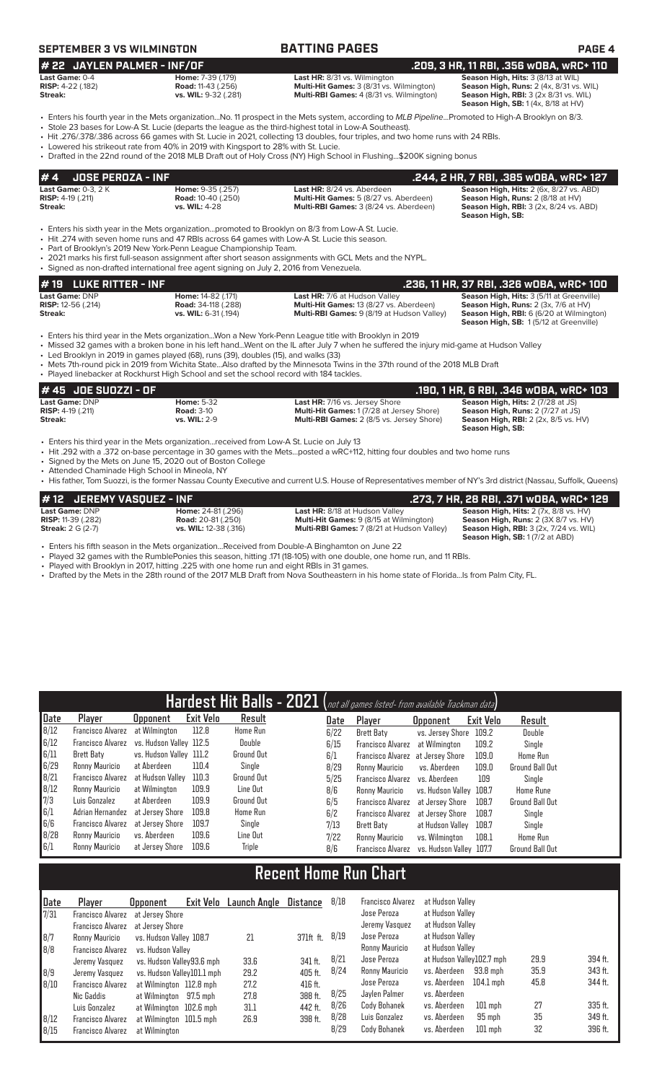# **SEPTEMBER 3 VS WILMINGTON BATTING PAGES PAGE 4**

| $\#$ 22 JAYLEN PALMER - INF/OF |                             |                                                 | .209, 3 HR, 11 RBI, .356 WOBA, WRC+ 110             |
|--------------------------------|-----------------------------|-------------------------------------------------|-----------------------------------------------------|
| Last Game: 0-4                 | <b>Home: 7-39 (.179)</b>    | <b>Last HR:</b> 8/31 vs. Wilmington             | <b>Season High, Hits: 3 (8/13 at WIL)</b>           |
| <b>RISP:</b> 4-22 $(.182)$     | <b>Road:</b> 11-43 (.256)   | <b>Multi-Hit Games: 3 (8/31 vs. Wilmington)</b> | Season High, Runs: 2 (4x, 8/31 vs. WIL)             |
| Streak:                        | <b>vs. WIL:</b> 9-32 (.281) | <b>Multi-RBI Games:</b> 4 (8/31 vs. Wilmington) | <b>Season High, RBI:</b> $3$ ( $2x$ $8/31$ vs. WIL) |
|                                |                             |                                                 | <b>Season High, SB:</b> 1(4x, 8/18 at HV)           |

• Enters his fourth year in the Mets organization...No. 11 prospect in the Mets system, according to *MLB Pipeline*...Promoted to High-A Brooklyn on 8/3.

• Stole 23 bases for Low-A St. Lucie (departs the league as the third-highest total in Low-A Southeast). • Hit .276/.378/.386 across 66 games with St. Lucie in 2021, collecting 13 doubles, four triples, and two home runs with 24 RBIs.

• Lowered his strikeout rate from 40% in 2019 with Kingsport to 28% with St. Lucie.

• Drafted in the 22nd round of the 2018 MLB Draft out of Holy Cross (NY) High School in Flushing...\$200K signing bonus

| <b>JOSE PEROZA - INF</b><br>#4                                                                                                                                                                                                                                                                                                                                                                                                                                                  |                                                                                                                                                                                  |                                                                                                                                                                                                                                                                                                                                                                                 | .244, 2 HR, 7 RBI, .385 WOBA, WRC+ 127                                                                                                                                  |  |  |  |  |  |  |
|---------------------------------------------------------------------------------------------------------------------------------------------------------------------------------------------------------------------------------------------------------------------------------------------------------------------------------------------------------------------------------------------------------------------------------------------------------------------------------|----------------------------------------------------------------------------------------------------------------------------------------------------------------------------------|---------------------------------------------------------------------------------------------------------------------------------------------------------------------------------------------------------------------------------------------------------------------------------------------------------------------------------------------------------------------------------|-------------------------------------------------------------------------------------------------------------------------------------------------------------------------|--|--|--|--|--|--|
| <b>Last Game:</b> 0-3. 2 K<br><b>RISP:</b> 4-19 (.211)<br>Streak:                                                                                                                                                                                                                                                                                                                                                                                                               | Home: 9-35 (.257)<br><b>Road: 10-40 (.250)</b><br>vs. WIL: 4-28                                                                                                                  | Last HR: 8/24 vs. Aberdeen<br>Multi-Hit Games: 5 (8/27 vs. Aberdeen)<br>Multi-RBI Games: 3 (8/24 vs. Aberdeen)                                                                                                                                                                                                                                                                  | Season High, Hits: 2 (6x, 8/27 vs. ABD)<br>Season High, Runs: 2 (8/18 at HV)<br><b>Season High, RBI: 3 (2x, 8/24 vs. ABD)</b><br>Season High, SB:                       |  |  |  |  |  |  |
| • Enters his sixth year in the Mets organizationpromoted to Brooklyn on 8/3 from Low-A St. Lucie.<br>• Hit .274 with seven home runs and 47 RBIs across 64 games with Low-A St. Lucie this season.<br>• Part of Brooklyn's 2019 New York-Penn League Championship Team.<br>. 2021 marks his first full-season assignment after short season assignments with GCL Mets and the NYPL.<br>• Signed as non-drafted international free agent signing on July 2, 2016 from Venezuela. |                                                                                                                                                                                  |                                                                                                                                                                                                                                                                                                                                                                                 |                                                                                                                                                                         |  |  |  |  |  |  |
| # 19 LUKE RITTER - INF                                                                                                                                                                                                                                                                                                                                                                                                                                                          |                                                                                                                                                                                  |                                                                                                                                                                                                                                                                                                                                                                                 | .236, 11 HR, 37 RBI, .326 wOBA, wRC+ 100                                                                                                                                |  |  |  |  |  |  |
| Last Game: DNP<br><b>RISP:</b> 12-56 (.214)<br><b>Streak:</b>                                                                                                                                                                                                                                                                                                                                                                                                                   | Home: 14-82 (.171)<br><b>Road: 34-118 (.288)</b><br>vs. WIL: 6-31 (.194)                                                                                                         | Last HR: 7/6 at Hudson Valley<br>Multi-Hit Games: 13 (8/27 vs. Aberdeen)<br>Multi-RBI Games: 9 (8/19 at Hudson Valley)                                                                                                                                                                                                                                                          | Season High, Hits: 3 (5/11 at Greenville)<br>Season High, Runs: 2 (3x, 7/6 at HV)<br>Season High, RBI: 6 (6/20 at Wilmington)<br>Season High, SB: 1(5/12 at Greenville) |  |  |  |  |  |  |
|                                                                                                                                                                                                                                                                                                                                                                                                                                                                                 | • Led Brooklyn in 2019 in games played (68), runs (39), doubles (15), and walks (33)<br>• Played linebacker at Rockhurst High School and set the school record with 184 tackles. | . Enters his third year in the Mets organizationWon a New York-Penn League title with Brooklyn in 2019<br>• Missed 32 games with a broken bone in his left handWent on the IL after July 7 when he suffered the injury mid-game at Hudson Valley<br>• Mets 7th-round pick in 2019 from Wichita StateAlso drafted by the Minnesota Twins in the 37th round of the 2018 MLB Draft |                                                                                                                                                                         |  |  |  |  |  |  |
| # 45   JOE SUOZZI - OF                                                                                                                                                                                                                                                                                                                                                                                                                                                          |                                                                                                                                                                                  |                                                                                                                                                                                                                                                                                                                                                                                 | .190, 1 HR, 6 RBI, .346 WOBA, WRC+ 103                                                                                                                                  |  |  |  |  |  |  |
| Last Game: DNP<br><b>RISP:</b> $4-19$ $(.211)$<br>Streak:                                                                                                                                                                                                                                                                                                                                                                                                                       | <b>Home: 5-32</b><br><b>Road: 3-10</b><br>vs. WIL: 2-9                                                                                                                           | Last HR: 7/16 vs. Jersey Shore<br>Multi-Hit Games: 1 (7/28 at Jersey Shore)<br>Multi-RBI Games: 2 (8/5 vs. Jersey Shore)                                                                                                                                                                                                                                                        | Season High, Hits: 2 (7/28 at JS)<br>Season High, Runs: 2 (7/27 at JS)<br><b>Season High, RBI:</b> 2 (2x, 8/5 vs. HV)<br>Season High, SB:                               |  |  |  |  |  |  |

• Enters his third year in the Mets organization...received from Low-A St. Lucie on July 13

• Hit .292 with a .372 on-base percentage in 30 games with the Mets...posted a wRC+112, hitting four doubles and two home runs

• Signed by the Mets on June 15, 2020 out of Boston College

• Attended Chaminade High School in Mineola, NY • His father, Tom Suozzi, is the former Nassau County Executive and current U.S. House of Representatives member of NY's 3rd district (Nassau, Suffolk, Queens)

| #12 JEREMY VASQUEZ - INF   |                           |                                                   | , 273, 7 HR, 28 RBI, .371 wOBA, wRC+ 129.     |
|----------------------------|---------------------------|---------------------------------------------------|-----------------------------------------------|
| <b>Last Game: DNP</b>      | <b>Home: 24-81 (.296)</b> | <b>Last HR: 8/18 at Hudson Valley</b>             | <b>Season High, Hits: 2 (7x, 8/8 vs. HV)</b>  |
| <b>RISP:</b> 11-39 (.282)  | <b>Road:</b> 20-81 (.250) | <b>Multi-Hit Games:</b> 9 (8/15 at Wilmington)    | Season High, Runs: 2 (3X 8/7 vs. HV)          |
| <b>Streak:</b> $2 G (2-7)$ | vs. WIL: 12-38 (.316)     | <b>Multi-RBI Games: 7 (8/21 at Hudson Valley)</b> | <b>Season High, RBI: 3 (2x, 7/24 vs. WIL)</b> |
|                            |                           |                                                   | Season High, SB: 1 (7/2 at ABD)               |

• Enters his fifth season in the Mets organization...Received from Double-A Binghamton on June 22

• Played 32 games with the RumblePonies this season, hitting .171 (18-105) with one double, one home run, and 11 RBIs.<br>• Played with Brooklyn in 2017 hitting 225 with one home run and eight RBIs in 31 games

Played with Brooklyn in 2017, hitting .225 with one home run and eight RBIs in 31 games.

• Drafted by the Mets in the 28th round of the 2017 MLB Draft from Nova Southeastern in his home state of Florida...Is from Palm City, FL.

|      |                   |                         |           |                   |      | Hardest Hit Balls - 2021 (not all games listed- from available Trackman data) |                         |           |                        |
|------|-------------------|-------------------------|-----------|-------------------|------|-------------------------------------------------------------------------------|-------------------------|-----------|------------------------|
| Date | Player            | <b>Opponent</b>         | Exit Velo | Result            | Date | Player                                                                        | <b>Opponent</b>         | Exit Velo | Result                 |
| 8/12 | Francisco Alvarez | at Wilmington           | 112.8     | Home Run          | 6/22 | Brett Baty                                                                    | vs. Jersev Shore        | 109.2     | Double                 |
| 6/12 | Francisco Alvarez | vs. Hudson Vallev 112.5 |           | Double            | 6/15 | Francisco Alvarez                                                             | at Wilmington           | 109.2     | Single                 |
| 6/11 | Brett Baty        | vs. Hudson Valley 111.2 |           | <b>Ground Out</b> | 6/1  | Francisco Alvarez at Jersey Shore                                             |                         | 109.0     | Home Run               |
| 6/29 | Ronny Mauricio    | at Aberdeen             | 110.4     | Sinale            | 8/29 | Ronny Mauricio                                                                | vs. Aberdeen            | 109.0     | <b>Ground Ball Out</b> |
| 8/21 | Francisco Alvarez | at Hudson Vallev        | 110.3     | <b>Ground Out</b> | 5/25 | Francisco Alvarez                                                             | vs. Aberdeen            | 109       | Sinale                 |
| 8/12 | Ronny Mauricio    | at Wilmington           | 109.9     | Line Out          | 8/6  | Ronny Mauricio                                                                | vs. Hudson Valley 108.7 |           | <b>Home Rune</b>       |
| 7/3  | Luis Gonzalez     | at Aberdeen             | 109.9     | <b>Ground Out</b> | 6/5  | Francisco Alvarez                                                             | at Jersev Shore         | 108.7     | <b>Ground Ball Out</b> |
| 6/1  | Adrian Hernandez  | at Jersey Shore         | 109.8     | Home Run          | 6/2  | Francisco Alvarez                                                             | at Jersev Shore         | 108.7     | Single                 |
| 6/6  | Francisco Alvarez | at Jersev Shore         | 109.7     | Single            | 7/13 | Brett Baty                                                                    | at Hudson Vallev        | 108.7     | Single                 |
| 8/28 | Ronny Mauricio    | vs. Aberdeen            | 109.6     | Line Out          | 7/22 | Ronny Mauricio                                                                | vs. Wilmington          | 108.1     | Home Run               |
| 6/1  | Ronny Mauricio    | at Jersev Shore         | 109.6     | Triple            | 8/6  | Francisco Alvarez                                                             | vs. Hudson Vallev 107.7 |           | <b>Ground Ball Out</b> |

# **Recent Home Run Chart**

| Date<br>7/31              | Player                                                                     | Exit Velo<br><b>Opponent</b><br>Francisco Alvarez at Jersey Shore                                            | Launch Angle                 | Distance                                 | 8/18                 | Francisco Alvarez<br>Jose Peroza                              | at Hudson Valley<br>at Hudson Valley                                                               |                      |                               |
|---------------------------|----------------------------------------------------------------------------|--------------------------------------------------------------------------------------------------------------|------------------------------|------------------------------------------|----------------------|---------------------------------------------------------------|----------------------------------------------------------------------------------------------------|----------------------|-------------------------------|
| 8/7<br>8/8                | Ronny Mauricio<br><b>Francisco Alvarez</b>                                 | Francisco Alvarez at Jersey Shore<br>vs. Hudson Valley 108.7<br>vs. Hudson Vallev                            | 21                           | 371ft ft.                                | 8/19                 | Jeremy Vasquez<br>Jose Peroza<br>Ronny Mauricio               | at Hudson Valley<br>at Hudson Valley<br>at Hudson Valley                                           |                      |                               |
| $\vert 8/9 \vert$<br>8/10 | Jeremy Vasquez<br>Jeremy Vasquez<br><b>Francisco Alvarez</b><br>Nic Gaddis | vs. Hudson Valley93.6 mph<br>vs. Hudson Valley101.1 mph<br>at Wilmington 112.8 mph<br>at Wilmington 97.5 mph | 33.6<br>29.2<br>27.2<br>27.8 | 341 ft.<br>405 ft.<br>416 ft.<br>388 ft. | 8/21<br>8/24<br>8/25 | Jose Peroza<br>Ronny Mauricio<br>Jose Peroza<br>Javlen Palmer | at Hudson Valley102.7 mph<br>vs. Aberdeen<br>93.8 mph<br>vs. Aberdeen<br>104.1 mph<br>vs. Aberdeen | 29.9<br>35.9<br>45.8 | 394 ft.<br>343 ft.<br>344 ft. |
| 8/12<br>8/15              | Luis Gonzalez<br><b>Francisco Alvarez</b><br><b>Francisco Alvarez</b>      | at Wilmington 102.6 mph<br>at Wilmington 101.5 mph<br>at Wilmington                                          | 31.1<br>26.9                 | 442 ft.<br>398 ft.                       | 8/26<br>8/28<br>8/29 | Cody Bohanek<br>Luis Gonzalez<br>Cody Bohanek                 | vs. Aberdeen<br>$101$ mph<br>vs. Aberdeen<br>95 mph<br>vs. Aberdeen<br>$101$ mph                   | 27<br>35<br>32       | 335 ft.<br>349 ft.<br>396 ft. |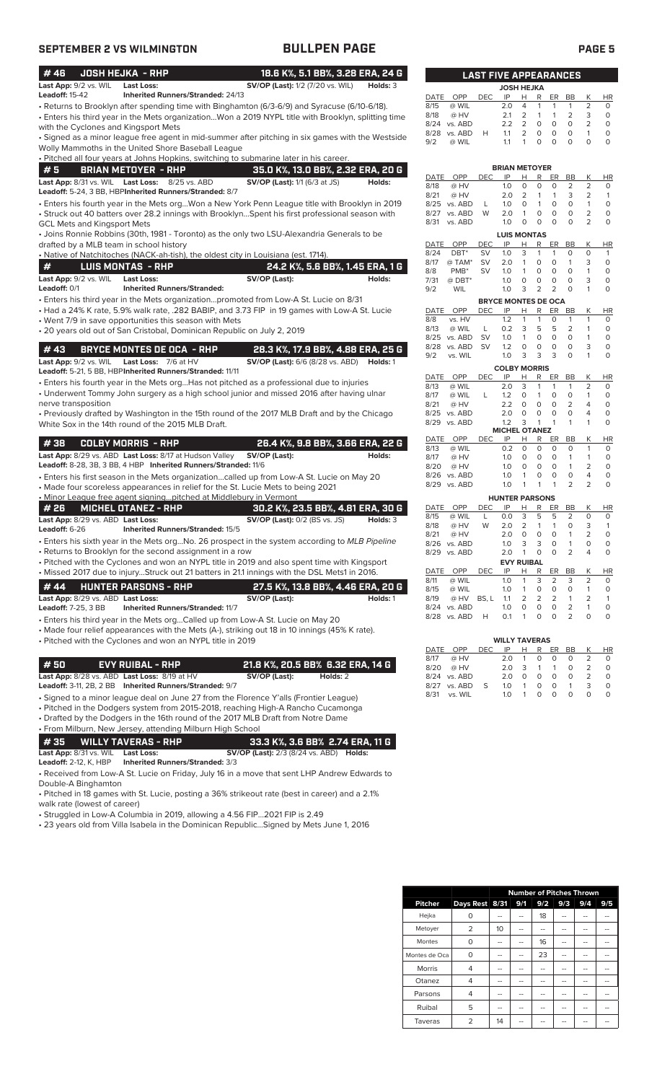| <b>SEPTEMBER 2 VS WILMINGTON</b>                                                                                                                                                                                                                                                                   | <b>BULLPEN PAGE</b>                                     |                                         |                                                |                                             |                                                      |                     | <b>PAGE 5</b>             |
|----------------------------------------------------------------------------------------------------------------------------------------------------------------------------------------------------------------------------------------------------------------------------------------------------|---------------------------------------------------------|-----------------------------------------|------------------------------------------------|---------------------------------------------|------------------------------------------------------|---------------------|---------------------------|
| <b>JOSH HEJKA - RHP</b><br>#46                                                                                                                                                                                                                                                                     | 18.6 K%, 5.1 BB%, 3.28 ERA, 24 G                        |                                         | <b>LAST FIVE APPEARANCES</b>                   |                                             |                                                      |                     |                           |
| Last App: 9/2 vs. WIL<br><b>Last Loss:</b>                                                                                                                                                                                                                                                         | <b>SV/OP (Last):</b> 1/2 (7/20 vs. WIL)<br>Holds: 3     |                                         |                                                | <b>JOSH HEJKA</b>                           |                                                      |                     |                           |
| <b>Leadoff: 15-42</b><br>Inherited Runners/Stranded: 24/13                                                                                                                                                                                                                                         |                                                         | DATE<br><b>OPP</b>                      | IP<br><b>DEC</b>                               | H<br>R                                      | ER<br>BB                                             | Κ                   | <b>HR</b>                 |
| • Returns to Brooklyn after spending time with Binghamton (6/3-6/9) and Syracuse (6/10-6/18).                                                                                                                                                                                                      |                                                         | 8/15<br>@ WIL                           | 2.0                                            | 4<br>1                                      | $\mathbf{1}$<br>$\mathbf{1}$                         | 2                   | $\circ$                   |
| • Enters his third year in the Mets organizationWon a 2019 NYPL title with Brooklyn, splitting time                                                                                                                                                                                                |                                                         | 8/18<br>@ HV<br>8/24 vs. ABD            | 2.1<br>2.2                                     | 2<br>1<br>$\overline{2}$<br>$\circ$         | $\mathbf{1}$<br>$\overline{2}$<br>$\circ$<br>$\circ$ | 3<br>2              | $\circ$<br>$\circ$        |
| with the Cyclones and Kingsport Mets                                                                                                                                                                                                                                                               |                                                         | 8/28 vs. ABD                            | H<br>1.1                                       | $\overline{2}$<br>$\circ$                   | $\circ$<br>$\circ$                                   | $\mathbf{1}$        | $\circ$                   |
| • Signed as a minor league free agent in mid-summer after pitching in six games with the Westside<br>Wolly Mammoths in the United Shore Baseball League                                                                                                                                            |                                                         | 9/2<br>@ WIL                            | 1.1                                            | $\mathbf 0$<br>$\mathbf{1}$                 | $\circ$<br>$\mathbf 0$                               | $\circ$             | $\circ$                   |
| . Pitched all four years at Johns Hopkins, switching to submarine later in his career.                                                                                                                                                                                                             |                                                         |                                         |                                                |                                             |                                                      |                     |                           |
| #5<br><b>BRIAN METOYER - RHP</b>                                                                                                                                                                                                                                                                   | 35.0 K%, 13.0 BB%, 2.32 ERA, 20 G                       |                                         |                                                | <b>BRIAN METOYER</b>                        |                                                      |                     |                           |
| Last App: 8/31 vs. WIL Last Loss: 8/25 vs. ABD                                                                                                                                                                                                                                                     | SV/OP (Last): 1/1 (6/3 at JS)<br>Holds:                 | DATE<br>OPP                             | <b>DEC</b><br>IP                               | R<br>Н                                      | ER<br>BB                                             | К                   | HR                        |
| Leadoff: 5-24, 3 BB, HBPInherited Runners/Stranded: 8/7                                                                                                                                                                                                                                            |                                                         | 8/18<br>@ HV<br>8/21<br>@ HV            | 1.0<br>2.0                                     | 0<br>$\mathbf 0$<br>2<br>$\mathbf{1}$       | $\circ$<br>2<br>$\mathbf{1}$<br>3                    | $\overline{2}$<br>2 | $\circ$<br>$\mathbf{1}$   |
| . Enters his fourth year in the Mets orgWon a New York Penn League title with Brooklyn in 2019                                                                                                                                                                                                     |                                                         | 8/25 vs. ABD                            | 1.0<br>L                                       | $\circ$<br>$\mathbf{1}$                     | $\mathbf 0$<br>$\circ$                               | $\mathbf{1}$        | $\circ$                   |
| • Struck out 40 batters over 28.2 innings with BrooklynSpent his first professional season with                                                                                                                                                                                                    |                                                         | 8/27 vs. ABD                            | W<br>2.0                                       | $\mathbf{1}$<br>$\mathbf 0$                 | $\circ$<br>$\mathbf 0$                               | $\overline{2}$      | $\mathsf O$               |
| <b>GCL Mets and Kingsport Mets</b>                                                                                                                                                                                                                                                                 |                                                         | 8/31 vs. ABD                            | 1.0                                            | $\mathbf 0$<br>$\mathbf 0$                  | $\Omega$<br>$\mathbf 0$                              | $\overline{2}$      | $\circ$                   |
| • Joins Ronnie Robbins (30th, 1981 - Toronto) as the only two LSU-Alexandria Generals to be                                                                                                                                                                                                        |                                                         |                                         |                                                | <b>LUIS MONTAS</b>                          |                                                      |                     |                           |
| drafted by a MLB team in school history                                                                                                                                                                                                                                                            |                                                         | OPP<br>DATE<br>DBT <sup>*</sup><br>8/24 | DEC<br>IP<br>SV<br>1.0                         | R<br>н<br>3<br>1                            | ER<br>BB<br>$\mathbf{1}$<br>O                        | K<br>$\circ$        | <b>HR</b><br>$\mathbf{1}$ |
| . Native of Natchitoches (NACK-ah-tish), the oldest city in Louisiana (est. 1714).                                                                                                                                                                                                                 |                                                         | 8/17<br>@ TAM*                          | <b>SV</b><br>2.0                               | $\mathbf 0$<br>$\mathbf{1}$                 | $\circ$<br>$\mathbf{1}$                              | 3                   | $\circ$                   |
| #<br><b>LUIS MONTAS - RHP</b>                                                                                                                                                                                                                                                                      | 24.2 K%, 5.6 BB%, 1.45 ERA, 1 G                         | 8/8<br>PMB <sup>*</sup>                 | <b>SV</b><br>1.0                               | $\mathbf{1}$<br>0                           | $\circ$<br>$\circ$                                   | 1                   | $\mathsf O$               |
| <b>Last App:</b> 9/2 vs. WIL<br><b>Last Loss:</b><br>Leadoff: 0/1<br><b>Inherited Runners/Stranded:</b>                                                                                                                                                                                            | SV/OP (Last):<br>Holds:                                 | 7/31<br>$@$ DBT*                        | 1.0                                            | $\mathsf O$<br>$\circ$                      | $\mathsf O$<br>$\circ$                               | 3                   | $\mathsf O$               |
| · Enters his third year in the Mets organizationpromoted from Low-A St. Lucie on 8/31                                                                                                                                                                                                              |                                                         | 9/2<br><b>WIL</b>                       | 1.0                                            | $\overline{2}$<br>3                         | $\overline{2}$<br>$\Omega$                           | $\mathbf{1}$        | $\circ$                   |
| • Had a 24% K rate, 5.9% walk rate, .282 BABIP, and 3.73 FIP in 19 games with Low-A St. Lucie                                                                                                                                                                                                      |                                                         | DATE OPP                                | <b>BRYCE MONTES DE OCA</b><br>IP<br><b>DEC</b> | H<br>R                                      | ER<br>BB                                             | Κ                   | HR                        |
| • Went 7/9 in save opportunities this season with Mets                                                                                                                                                                                                                                             |                                                         | 8/8<br>vs. HV                           | 1.2                                            | $\mathbf{1}$<br>$\mathbf{1}$                | $\circ$<br>$\mathbf{1}$                              | $\mathbf{1}$        | $\circ$                   |
| • 20 years old out of San Cristobal, Dominican Republic on July 2, 2019                                                                                                                                                                                                                            |                                                         | 8/13<br>@ WIL                           | 0.2<br>L                                       | 3<br>5                                      | 5<br>$\overline{2}$                                  | 1                   | $\circ$                   |
|                                                                                                                                                                                                                                                                                                    |                                                         | 8/25 vs. ABD<br>8/28 vs. ABD SV         | <b>SV</b><br>1.0<br>1.2                        | $\mathbf{1}$<br>0<br>0<br>$\circ$           | $\mathsf O$<br>$\circ$<br>$\circ$<br>$\circ$         | $\mathbf{1}$<br>3   | $\circ$<br>$\circ$        |
| #43<br><b>BRYCE MONTES DE OCA - RHP</b>                                                                                                                                                                                                                                                            | 28.3 K%, 17.9 BB%, 4.88 ERA, 25 G                       | 9/2<br>vs. WIL                          | 1.0                                            | 3<br>3                                      | 3<br>$\Omega$                                        | 1                   | $\circ$                   |
| Last App: 9/2 vs. WIL<br>Last Loss: 7/6 at HV                                                                                                                                                                                                                                                      | <b>SV/OP (Last):</b> 6/6 (8/28 vs. ABD) <b>Holds:</b> 1 |                                         |                                                | <b>COLBY MORRIS</b>                         |                                                      |                     |                           |
| Leadoff: 5-21, 5 BB, HBPInherited Runners/Stranded: 11/11                                                                                                                                                                                                                                          |                                                         | DATE<br>OPP                             | <b>DEC</b><br>IP                               | R<br>H                                      | <b>BB</b><br>ER                                      | К                   | <b>HR</b>                 |
| • Enters his fourth year in the Mets orgHas not pitched as a professional due to injuries<br>• Underwent Tommy John surgery as a high school junior and missed 2016 after having ulnar                                                                                                             |                                                         | 8/13<br>@ WIL                           | 2.0                                            | 3<br>$\mathbf{1}$                           | $\mathbf{1}$<br>$\mathbf{1}$                         | 2                   | $\circ$                   |
| nerve transposition                                                                                                                                                                                                                                                                                |                                                         | 8/17<br>@ WIL<br>8/21<br>@ HV           | L<br>1.2<br>2.2                                | $\circ$<br>$\mathbf{1}$<br>0<br>0           | $\circ$<br>$\circ$<br>$\overline{2}$<br>$\circ$      | $\mathbf{1}$<br>4   | $\circ$<br>$\circ$        |
| • Previously drafted by Washington in the 15th round of the 2017 MLB Draft and by the Chicago                                                                                                                                                                                                      |                                                         | 8/25 vs. ABD                            | 2.0                                            | $\circ$<br>$\circ$                          | $\circ$<br>$\mathbf 0$                               | 4                   | $\circ$                   |
| White Sox in the 14th round of the 2015 MLB Draft.                                                                                                                                                                                                                                                 |                                                         | 8/29<br>vs. ABD                         | 1.2                                            | 3<br>$\mathbf{1}$                           | $\overline{1}$<br>$\mathbf{1}$                       | $\mathbf{1}$        | $\circ$                   |
|                                                                                                                                                                                                                                                                                                    |                                                         | DATE<br>OPP                             | IP<br><b>DEC</b>                               | <b>MICHEL OTANEZ</b><br>Н<br>R              | ER<br>BB                                             | К                   | HR                        |
| #38<br><b>COLBY MORRIS - RHP</b>                                                                                                                                                                                                                                                                   | 26.4 K%, 9.8 BB%, 3.66 ERA, 22 G                        | 8/13<br>@ WIL                           | 0.2                                            | $\circ$<br>$\circ$                          | $\circ$<br>$\circ$                                   | $\mathbf{1}$        | $\circ$                   |
| Last App: 8/29 vs. ABD Last Loss: 8/17 at Hudson Valley                                                                                                                                                                                                                                            | SV/OP (Last):<br>Holds:                                 | 8/17<br>@ HV                            | 1.0                                            | 0<br>0                                      | $\circ$<br>$\mathbf{1}$                              | $\mathbf{1}$        | $\circ$                   |
| Leadoff: 8-28, 3B, 3 BB, 4 HBP Inherited Runners/Stranded: 11/6                                                                                                                                                                                                                                    |                                                         | 8/20<br>@ HV<br>8/26 vs. ABD            | 1.0<br>1.0                                     | 0<br>$\mathbf 0$<br>$\mathbf{1}$<br>$\circ$ | $\circ$<br>$\mathbf{1}$<br>$\circ$<br>$\circ$        | $\overline{2}$<br>4 | $\circ$<br>$\circ$        |
| • Enters his first season in the Mets organizationcalled up from Low-A St. Lucie on May 20<br>• Made four scoreless appearances in relief for the St. Lucie Mets to being 2021                                                                                                                     |                                                         | 8/29 vs. ABD                            | 1.0                                            | $\mathbf{1}$<br>$\mathbf{1}$                | $\overline{2}$<br>$\mathbf{1}$                       | $\overline{2}$      | $\circ$                   |
| . Minor League free agent signingpitched at Middlebury in Vermont                                                                                                                                                                                                                                  |                                                         |                                         |                                                | <b>HUNTER PARSONS</b>                       |                                                      |                     |                           |
| # 26<br><b>MICHEL OTANEZ - RHP</b>                                                                                                                                                                                                                                                                 | 30.2 K%, 23.5 BB%, 4.81 ERA, 30 G                       | DATE OPP                                | IP<br>DEC.                                     | H R ER BB                                   |                                                      | Κ                   | HR                        |
| <b>Last App:</b> 8/29 vs. ABD <b>Last Loss:</b>                                                                                                                                                                                                                                                    | <b>SV/OP (Last):</b> 0/2 (BS vs. JS)<br><b>Holds:</b> 3 | 8/15<br>@ WIL                           |                                                | $0.0 \quad 3 \quad 5 \quad 5$               | $\overline{2}$                                       | $\Omega$            | $\Omega$                  |
| Leadoff: $6-26$<br>Inherited Runners/Stranded: 15/5                                                                                                                                                                                                                                                |                                                         | 8/18<br>@ HV<br>8/21<br>@ HV            | 2.0<br>W<br>2.0                                | 2<br>$\mathbf{1}$<br>$\circ$<br>0           | $\mathbf 0$<br>-1<br>0<br>$\mathbf{1}$               | 3<br>2              | 1<br>$\circ$              |
| • Enters his sixth year in the Mets orgNo. 26 prospect in the system according to MLB Pipeline                                                                                                                                                                                                     |                                                         | 8/26 vs. ABD                            | 1.0                                            | 3<br>3                                      | 0<br>$\mathbf{1}$                                    | 0                   | 0                         |
| • Returns to Brooklyn for the second assignment in a row                                                                                                                                                                                                                                           |                                                         | 8/29 vs. ABD                            | 2.0                                            | $\overline{1}$<br>0                         | $\circ$<br>2                                         | 4                   | $\circ$                   |
| • Pitched with the Cyclones and won an NYPL title in 2019 and also spent time with Kingsport                                                                                                                                                                                                       |                                                         | DATE OPP                                | <b>DEC</b><br>IP                               | <b>EVY RUIBAL</b><br>н<br>R                 | ER                                                   | Κ                   |                           |
| • Missed 2017 due to injuryStruck out 21 batters in 21.1 innings with the DSL Mets1 in 2016.                                                                                                                                                                                                       |                                                         | 8/11<br>@ WIL                           | 1.0                                            | 3<br>1                                      | BB<br>$\overline{2}$<br>3                            | 2                   | <u>HR</u><br>0            |
| #44<br><b>HUNTER PARSONS - RHP</b>                                                                                                                                                                                                                                                                 | 27.5 K%, 13.8 BB%, 4.46 ERA, 20 G                       | 8/15<br>@ WIL                           | 1.0                                            | 1<br>0                                      | 0<br>0                                               | 1                   | 0                         |
| Last App: 8/29 vs. ABD Last Loss:                                                                                                                                                                                                                                                                  | SV/OP (Last):<br>Holds: 1                               | 8/19<br>@ HV                            | BS, L<br>1.1                                   | 2<br>2                                      | $\overline{2}$<br>1                                  | 2                   | $\mathbf{1}$              |
| Leadoff: 7-25, 3 BB<br><b>Inherited Runners/Stranded: 11/7</b>                                                                                                                                                                                                                                     |                                                         | 8/24 vs. ABD<br>8/28 vs. ABD            | 1.0<br>H<br>0.1                                | 0<br>0<br>0<br>$\mathbf{1}$                 | $\circ$<br>$\overline{2}$<br>$\circ$<br>2            | 1<br>0              | $\circ$<br>$\circ$        |
| • Enters his third year in the Mets orgCalled up from Low-A St. Lucie on May 20                                                                                                                                                                                                                    |                                                         |                                         |                                                |                                             |                                                      |                     |                           |
| • Made four relief appearances with the Mets (A-), striking out 18 in 10 innings (45% K rate).<br>• Pitched with the Cyclones and won an NYPL title in 2019                                                                                                                                        |                                                         |                                         |                                                | <b>WILLY TAVERAS</b>                        |                                                      |                     |                           |
|                                                                                                                                                                                                                                                                                                    |                                                         | DATE<br>OPP                             | <b>DEC</b><br>IP                               | R<br>н                                      | ER<br>BB                                             | К                   | HR                        |
| #50<br><b>EVY RUIBAL - RHP</b>                                                                                                                                                                                                                                                                     | 21.8 K%, 20.5 BB% 6.32 ERA, 14 G                        | 8/17<br>@ HV                            | 2.0                                            | $\mathbf{1}$<br>0                           | 0<br>0                                               | 2                   | 0                         |
| Last App: 8/28 vs. ABD Last Loss: 8/19 at HV                                                                                                                                                                                                                                                       | SV/OP (Last):<br>Holds: 2                               | 8/20<br>@ HV<br>8/24 vs. ABD            | 2.0<br>2.0                                     | 3<br>1<br>0<br>0                            | 1<br>0<br>0<br>0                                     | 2<br>$\overline{2}$ | 0<br>$\circ$              |
| Leadoff: 3-11, 2B, 2 BB Inherited Runners/Stranded: 9/7                                                                                                                                                                                                                                            |                                                         | 8/27 vs. ABD                            | 1.0<br>S                                       | 0<br>$\mathbf{1}$                           | $\mathbf{1}$<br>0                                    | 3                   | 0                         |
| • Signed to a minor league deal on June 27 from the Florence Y'alls (Frontier League)                                                                                                                                                                                                              |                                                         | 8/31<br>vs. WIL                         | 1.0                                            | 0<br>$\mathbf{1}$                           | $\circ$<br>$\circ$                                   | $\circ$             | $\circ$                   |
| • Pitched in the Dodgers system from 2015-2018, reaching High-A Rancho Cucamonga                                                                                                                                                                                                                   |                                                         |                                         |                                                |                                             |                                                      |                     |                           |
| • Drafted by the Dodgers in the 16th round of the 2017 MLB Draft from Notre Dame                                                                                                                                                                                                                   |                                                         |                                         |                                                |                                             |                                                      |                     |                           |
| • From Milburn, New Jersey, attending Milburn High School<br>$\alpha$ and $\alpha$ is the second second terms of the second second second second second second second second second second second second second second second second second second second second second second second second secon |                                                         |                                         |                                                |                                             |                                                      |                     |                           |

**# 35 WILLY TAVERAS - RHP 33.3 K%, 3.6 BB% 2.74 ERA, 11 G Last App:** 8/31 vs. WIL **Last Loss: SV/OP (Last):** 2/3 (8/24 vs. ABD) **Holds:**

**Leadoff:** 2-12, K, HBP **Inherited Runners/Stranded:** 3/3

• Received from Low-A St. Lucie on Friday, July 16 in a move that sent LHP Andrew Edwards to Double-A Binghamton

• Pitched in 18 games with St. Lucie, posting a 36% strikeout rate (best in career) and a 2.1% walk rate (lowest of career)

• Struggled in Low-A Columbia in 2019, allowing a 4.56 FIP...2021 FIP is 2.49

• 23 years old from Villa Isabela in the Dominican Republic...Signed by Mets June 1, 2016

| DATE OPP DEC IP H R ER BB K HR |   |             |   |          |          |               |                         |          |
|--------------------------------|---|-------------|---|----------|----------|---------------|-------------------------|----------|
| 8/15 @ WIL                     |   | 2.0 4 1 1 1 |   |          |          |               | 2                       | $\circ$  |
| 8/18 @ HV                      |   |             |   |          |          | 2.1 2 1 1 2   | $\overline{\mathbf{3}}$ | $\Omega$ |
| 8/24 vs. ABD                   |   |             |   |          |          | 2.2 2 0 0 0 2 |                         | $\Omega$ |
| 8/28 vs. ABD                   | H | 1.1         | 2 | $\Omega$ | $\Omega$ | $\Omega$      | $\overline{1}$          | $\Omega$ |
| $9/2$ @ WIL                    |   | 1.1         | 1 | $\Omega$ | $\Omega$ | $\Omega$      | $\Omega$                | $\Omega$ |
|                                |   |             |   |          |          |               |                         |          |
|                                |   |             |   |          |          |               |                         |          |

| ----- |                  |            |                             |                | .,             |                |                | .,             | .  .           |
|-------|------------------|------------|-----------------------------|----------------|----------------|----------------|----------------|----------------|----------------|
| 8/18  | @ HV             |            | 1.0                         | 0              | 0              | 0              | 2              | $\overline{2}$ | 0              |
| 8/21  | @ HV             |            | 2.0                         | $\overline{2}$ | 1              | 1              | 3              | $\overline{2}$ | 1              |
| 8/25  | vs. ABD          | L          | 1.0                         | 0              | 1              | 0              | 0              | 1              | 0              |
| 8/27  | vs. ABD          | W          | 2.0                         | 1              | 0              | O              | 0              | $\overline{c}$ | 0              |
| 8/31  | vs. ABD          |            | 1.0                         | 0              | 0              | 0              | 0              | $\overline{2}$ | 0              |
|       |                  |            | <b>LUIS MONTAS</b>          |                |                |                |                |                |                |
| DATE  | OPP              | <b>DEC</b> | IP                          | Н              | R              | ER             | BB             | Κ              | ΗR             |
| 8/24  | DBT*             | SV         | 1.0                         | 3              | 1              | 1              | 0              | 0              | 1              |
| 8/17  | @ TAM*           | SV         | 2.0                         | 1              | 0              | 0              | 1              | 3              | 0              |
| 8/8   | PMB <sup>*</sup> | SV         | 1.0                         | 1              | 0              | 0              | 0              | 1              | 0              |
| 7/31  | @ DBT*           |            | 1.0                         | 0              | 0              | 0              | 0              | 3              | 0              |
| 9/2   | WIL              |            | 1.0                         | 3              | 2              | 2              | O              | 1              | 0              |
|       |                  |            | <b>BRYCE MONTES DE OCA</b>  |                |                |                |                |                |                |
| DATE  | OPP              | DEC        | IP                          | Н              | R              | ER             | BB             | Κ              | HR             |
| 8/8   | vs. HV           |            | 1.2                         | 1              | $\mathbf{1}$   | 0              | 1              | 1              | 0              |
| 8/13  | @ WIL            | Г          | 0.2                         | 3              | 5              | 5              | 2              | 1              | 0              |
| 8/25  | vs. ABD          | SV         | 1.0                         | 1              | 0              | 0              | 0              | 1              | 0              |
| 8/28  | vs. ABD          | SV         | 1.2                         | 0              | 0              | 0              | 0              | 3              | 0              |
| 9/2   | vs. WIL          |            | 1.0                         | 3              | 3              | 3              | $\Omega$       | 1              | 0              |
|       |                  |            | <b>COLBY MORRIS</b>         |                |                |                |                |                |                |
| DATE  | OPP              | DEC        | IP                          | Н              | R              | ER             | BB             | Κ              | ΗR             |
| 8/13  | @ WIL            |            | 2.0                         | 3              | 1              | 1              | 1              | $\overline{2}$ | 0              |
| 8/17  | @ WIL            | L          | 1.2                         | 0              | 1              | 0              | 0              | 1              | 0              |
| 8/21  | @ HV             |            | 2.2                         | 0              | 0              | 0              | 2              | 4              | 0              |
| 8/25  | vs. ABD          |            | 2.0                         | 0              | 0              | 0              | 0              | 4              | 0              |
| 8/29  | vs. ABD          |            | 1.2                         | 3              | 1              | 1              | 1              | 1              | O              |
| DATE  | OPP              | DEC        | <b>MICHEL OTANEZ</b><br>IP  | Н              | R              | ER             | BB             | Κ              | <b>HR</b>      |
| 8/13  | @ WIL            |            | 0.2                         | 0              | 0              | 0              | 0              | 1              | 0              |
| 8/17  | @ HV             |            | 1.0                         | 0              | $\circ$        | $\mathbf 0$    | $\mathbf{1}$   | 1              | 0              |
| 8/20  | @ HV             |            | 1.0                         | 0              | 0              | 0              | 1              | 2              | 0              |
| 8/26  | vs. ABD          |            | 1.0                         | 1              | 0              | 0              | 0              | 4              | 0              |
| 8/29  | vs. ABD          |            | 1.0                         | 1              | 1              | 1              | $\overline{2}$ | 2              | 0              |
|       |                  |            |                             |                |                |                |                |                |                |
| DATE  | OPP              | DEC        | <b>HUNTER PARSONS</b><br>IP | Н              | R              | ER             | ВB             | Κ              | H <sub>R</sub> |
| 8/15  | @ WIL            | L          | 0.0                         | 3              | 5              | 5              | 2              | 0              | 0              |
| 8/18  | @ HV             | W          | 2.0                         | 2              | 1              | 1              | 0              | 3              | 1              |
| 8/21  | @ HV             |            | 2.0                         | O              | O              | 0              | 1              | $\overline{2}$ | 0              |
| 8/26  | vs. ABD          |            | 1.0                         | 3              | 3              | 0              | 1              | 0              | 0              |
| 8/29  | vs. ABD          |            | 2.0                         | 1              | 0              | $\Omega$       | 2              | 4              | 0              |
|       |                  |            | <b>EVY RUIBAL</b>           |                |                |                |                |                |                |
| DATE  | <b>OPP</b>       | DEC        | IP                          | Н              | R              | ER             | ВB             | Κ              | H <sub>R</sub> |
| 8/11  | @ WIL            |            | 1.0                         | 1              | 3              | 2              | 3              | 2              | 0              |
| 8/15  | @ WIL            |            | 1.0                         | 1              | 0              | 0              | 0              | 1              | 0              |
| 8/19  | @ HV             | BS, L      | 1.1                         | $\overline{2}$ | $\overline{2}$ | $\overline{2}$ | 1              | $\overline{2}$ | 1              |
| 8/24  | vs. ABD          |            | 1.0                         | $\Omega$       | 0              | $\Omega$       | $\overline{2}$ | 1              | 0              |

|      |              |              | <b>WILLY TAVERAS</b> |   |    |         |          |               |    |
|------|--------------|--------------|----------------------|---|----|---------|----------|---------------|----|
| DATE | <b>OPP</b>   | <b>DEC</b>   | IP                   | н |    | R ER BB |          | K             | HR |
| 8/17 | @ HV         |              | 2 O                  | 1 | O  | O       | O        |               |    |
| 8/20 | @ HV         |              | 2 O                  | 3 | -1 | 1       | O        | $\mathcal{L}$ | O  |
|      | 8/24 vs. ABD |              | 2 O                  | O | O  | O       | $\Omega$ |               |    |
|      | 8/27 vs. ABD | <sub>S</sub> | 1 $\Omega$           |   | O  | O       | 1        | 3             |    |
| 8/31 | vs. WIL      |              | 1 $\Omega$           |   |    |         | O        |               |    |

|                |                |    |     |     |     | <b>Number of Pitches Thrown</b> |     |
|----------------|----------------|----|-----|-----|-----|---------------------------------|-----|
| <b>Pitcher</b> | Days Rest 8/31 |    | 9/1 | 9/2 | 9/3 | 9/4                             | 9/5 |
| Hejka          | Ο              |    |     | 18  |     |                                 |     |
| Metoyer        | 2              | 10 |     |     |     |                                 |     |
| Montes         | 0              | -- |     | 16  | --  |                                 | --  |
| Montes de Oca  | 0              |    |     | 23  |     |                                 |     |
| <b>Morris</b>  | 4              | -- |     |     |     |                                 |     |
| Otanez         | 4              |    |     |     |     |                                 |     |
| Parsons        | 4              |    |     |     |     |                                 |     |
| Ruibal         | 5              | -- |     | --  | --  |                                 |     |
| Taveras        | 2              | 14 |     |     |     |                                 |     |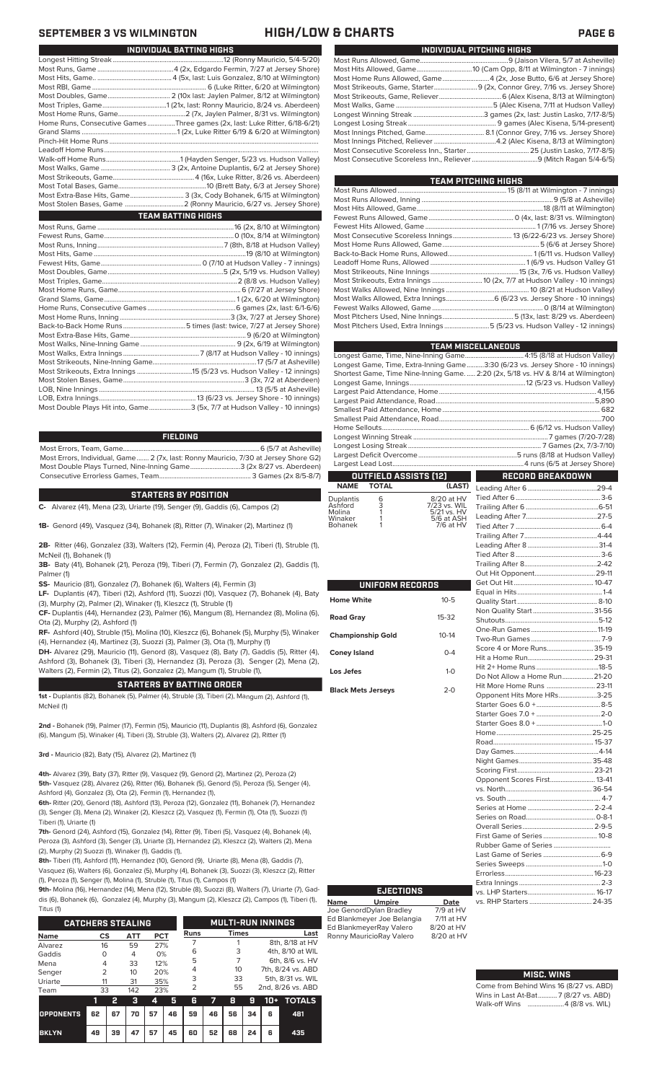| INDIVIDUAL PITCHING HIGHS                                                 |  |  |  |  |  |
|---------------------------------------------------------------------------|--|--|--|--|--|
|                                                                           |  |  |  |  |  |
|                                                                           |  |  |  |  |  |
| Most Home Runs Allowed, Game4 (2x, Jose Butto, 6/6 at Jersey Shore)       |  |  |  |  |  |
| Most Strikeouts, Game, Starter 9 (2x, Connor Grey, 7/16 vs. Jersey Shore) |  |  |  |  |  |
|                                                                           |  |  |  |  |  |
|                                                                           |  |  |  |  |  |
|                                                                           |  |  |  |  |  |
|                                                                           |  |  |  |  |  |
|                                                                           |  |  |  |  |  |
|                                                                           |  |  |  |  |  |
|                                                                           |  |  |  |  |  |
|                                                                           |  |  |  |  |  |

| TEAM PITCHING HIGHS                                                       |
|---------------------------------------------------------------------------|
|                                                                           |
|                                                                           |
|                                                                           |
|                                                                           |
|                                                                           |
|                                                                           |
|                                                                           |
|                                                                           |
|                                                                           |
|                                                                           |
|                                                                           |
|                                                                           |
| Most Walks Allowed, Extra Innings 6 (6/23 vs. Jersey Shore - 10 innings)  |
|                                                                           |
|                                                                           |
| Most Pitchers Used, Extra Innings 5 (5/23 vs. Hudson Valley - 12 innings) |
|                                                                           |

|                                                                                    | <b>TEAM MISCELLANEOUS</b> |
|------------------------------------------------------------------------------------|---------------------------|
|                                                                                    |                           |
| Longest Game, Time, Extra-Inning Game3:30 (6/23 vs. Jersey Shore - 10 innings)     |                           |
| Shortest Game, Time Nine-Inning Game.  2:20 (2x, 5/18 vs. HV & 8/14 at Wilmington) |                           |
|                                                                                    |                           |
|                                                                                    |                           |
|                                                                                    |                           |
|                                                                                    |                           |
|                                                                                    |                           |
|                                                                                    |                           |
|                                                                                    |                           |
|                                                                                    |                           |
|                                                                                    |                           |
|                                                                                    |                           |
| <b>OUTFIELD ASSISTS [12]</b>                                                       | <b>RECORD BREAKDOWN</b>   |

### **OUTFIELD ASSISTS (12) TOTAL**

| <b>Duplantis</b><br>Ashford<br>Molina | 6<br>3 | 8/20 at HV<br>7/23 vs. WIL<br>5/21 vs. HV |
|---------------------------------------|--------|-------------------------------------------|
| Winaker                               |        | 5/6 at ASH                                |
| <b>Bohanek</b>                        |        | 7/6 at HV                                 |

| <b>UNIFORM RECORDS</b>    |              |  |  |  |  |  |
|---------------------------|--------------|--|--|--|--|--|
| Home White                | $10 - 5$     |  |  |  |  |  |
| <b>Road Grav</b>          | 15-32        |  |  |  |  |  |
| <b>Championship Gold</b>  | $10 - 14$    |  |  |  |  |  |
| <b>Coney Island</b>       | $0 - 4$      |  |  |  |  |  |
| Los Jefes                 | $1 - \Omega$ |  |  |  |  |  |
| <b>Black Mets Jerseys</b> | $2 - 0$      |  |  |  |  |  |

| (LAST)             |                               |  |
|--------------------|-------------------------------|--|
|                    |                               |  |
| ) at HV<br>/s. WIL |                               |  |
| vs. HV<br>at ASH   |                               |  |
| at HV              |                               |  |
|                    |                               |  |
|                    |                               |  |
|                    |                               |  |
|                    |                               |  |
|                    |                               |  |
|                    |                               |  |
|                    |                               |  |
| 0-5                |                               |  |
|                    |                               |  |
| $-32$              |                               |  |
|                    |                               |  |
| $-14$              |                               |  |
| $0 - 4$            | Score 4 or More Runs 35-19    |  |
|                    |                               |  |
| $1 - 0$            |                               |  |
|                    | Do Not Allow a Home Run 21-20 |  |
| $2 - 0$            | Hit More Home Runs  23-11     |  |
|                    | Opponent Hits More HRs3-25    |  |
|                    |                               |  |
|                    |                               |  |
|                    |                               |  |
|                    |                               |  |
|                    |                               |  |
|                    |                               |  |
|                    |                               |  |
|                    |                               |  |
|                    | Opponent Scores First 13-41   |  |
|                    |                               |  |
|                    |                               |  |
|                    |                               |  |
|                    |                               |  |
|                    |                               |  |
|                    | First Game of Series 10-8     |  |
|                    |                               |  |
|                    |                               |  |
|                    |                               |  |
|                    |                               |  |
|                    |                               |  |
|                    |                               |  |
| <b>Date</b>        |                               |  |
| at HV              |                               |  |

### **MISC. WINS**

| Come from Behind Wins 16 (8/27 vs. ABD) |
|-----------------------------------------|
| Wins in Last At-Bat7 (8/27 vs. ABD)     |
|                                         |

## **SEPTEMBER 3 VS WILMINGTON HIGH/LOW & CHARTS PAGE 6**

| INDIVIDUAL BATTING HIGHS |                                                                             |  |  |  |  |  |
|--------------------------|-----------------------------------------------------------------------------|--|--|--|--|--|
|                          |                                                                             |  |  |  |  |  |
|                          |                                                                             |  |  |  |  |  |
|                          |                                                                             |  |  |  |  |  |
|                          |                                                                             |  |  |  |  |  |
|                          |                                                                             |  |  |  |  |  |
|                          |                                                                             |  |  |  |  |  |
|                          |                                                                             |  |  |  |  |  |
|                          | Home Runs, Consecutive Games Three games (2x, last: Luke Ritter, 6/18-6/21) |  |  |  |  |  |
|                          |                                                                             |  |  |  |  |  |
|                          |                                                                             |  |  |  |  |  |
|                          |                                                                             |  |  |  |  |  |
|                          |                                                                             |  |  |  |  |  |
|                          |                                                                             |  |  |  |  |  |
|                          |                                                                             |  |  |  |  |  |
|                          |                                                                             |  |  |  |  |  |
|                          | Most Extra-Base Hits, Game 3 (3x, Cody Bohanek, 6/15 at Wilmington)         |  |  |  |  |  |
|                          |                                                                             |  |  |  |  |  |
|                          | <b>TEAM BATTING HIGHS</b>                                                   |  |  |  |  |  |
|                          |                                                                             |  |  |  |  |  |
|                          |                                                                             |  |  |  |  |  |
|                          |                                                                             |  |  |  |  |  |
|                          |                                                                             |  |  |  |  |  |
|                          |                                                                             |  |  |  |  |  |
|                          |                                                                             |  |  |  |  |  |
|                          |                                                                             |  |  |  |  |  |
|                          |                                                                             |  |  |  |  |  |
|                          |                                                                             |  |  |  |  |  |
|                          |                                                                             |  |  |  |  |  |
|                          |                                                                             |  |  |  |  |  |
|                          |                                                                             |  |  |  |  |  |
|                          |                                                                             |  |  |  |  |  |
|                          |                                                                             |  |  |  |  |  |
|                          |                                                                             |  |  |  |  |  |
|                          |                                                                             |  |  |  |  |  |
|                          |                                                                             |  |  |  |  |  |
|                          |                                                                             |  |  |  |  |  |
|                          |                                                                             |  |  |  |  |  |
|                          |                                                                             |  |  |  |  |  |

LOB, Extra Innings........................................................13 (6/23 vs. Jersey Shore - 10 innings) .3 (5x, 7/7 at Hudson Valley - 10 innings)

### **FIELDING**

Most Errors, Team, Game...............................................................................6 (5/7 at Asheville) Most Errors, Individual, Game....... 2 (7x, last: Ronny Mauricio, 7/30 at Jersey Shore G2) Most Double Plays Turned, Nine-Inning Game.............................3 (2x 8/27 vs. Aberdeen) Consecutive Errorless Games, Team...

### **STARTERS BY POSITION**

**C-** Alvarez (41), Mena (23), Uriarte (19), Senger (9), Gaddis (6), Campos (2)

**1B-** Genord (49), Vasquez (34), Bohanek (8), Ritter (7), Winaker (2), Martinez (1)

**2B-** Ritter (46), Gonzalez (33), Walters (12), Fermin (4), Peroza (2), Tiberi (1), Struble (1), McNeil (1), Bohanek (1)

**3B-** Baty (41), Bohanek (21), Peroza (19), Tiberi (7), Fermin (7), Gonzalez (2), Gaddis (1), Palmer (1)

**SS-** Mauricio (81), Gonzalez (7), Bohanek (6), Walters (4), Fermin (3)

**LF-** Duplantis (47), Tiberi (12), Ashford (11), Suozzi (10), Vasquez (7), Bohanek (4), Baty (3), Murphy (2), Palmer (2), Winaker (1), Kleszcz (1), Struble (1)

**CF-** Duplantis (44), Hernandez (23), Palmer (16), Mangum (8), Hernandez (8), Molina (6), Ota (2), Murphy (2), Ashford (1)

**RF-** Ashford (40), Struble (15), Molina (10), Kleszcz (6), Bohanek (5), Murphy (5), Winaker (4), Hernandez (4), Martinez (3), Suozzi (3), Palmer (3), Ota (1), Murphy (1)

**DH-** Alvarez (29), Mauricio (11), Genord (8), Vasquez (8), Baty (7), Gaddis (5), Ritter (4), Ashford (3), Bohanek (3), Tiberi (3), Hernandez (3), Peroza (3), Senger (2), Mena (2), Walters (2), Fermin (2), Titus (2), Gonzalez (2), Mangum (1), Struble (1),

### **STARTERS BY BATTING ORDER**

**1st -** Duplantis (82), Bohanek (5), Palmer (4), Struble (3), Tiberi (2), Mangum (2), Ashford (1), McNeil (1)

**2nd -** Bohanek (19), Palmer (17), Fermin (15), Mauricio (11), Duplantis (8), Ashford (6), Gonzalez (6), Mangum (5), Winaker (4), Tiberi (3), Struble (3), Walters (2), Alvarez (2), Ritter (1)

**3rd -** Mauricio (82), Baty (15), Alvarez (2), Martinez (1)

**4th-** Alvarez (39), Baty (37), Ritter (9), Vasquez (9), Genord (2), Martinez (2), Peroza (2) **5th-** Vasquez (28), Alvarez (26), Ritter (16), Bohanek (5), Genord (5), Peroza (5), Senger (4), Ashford (4), Gonzalez (3), Ota (2), Fermin (1), Hernandez (1),

**6th-** Ritter (20), Genord (18), Ashford (13), Peroza (12), Gonzalez (11), Bohanek (7), Hernandez (3), Senger (3), Mena (2), Winaker (2), Kleszcz (2), Vasquez (1), Fermin (1), Ota (1), Suozzi (1) Tiberi (1), Uriarte (1)

**7th-** Genord (24), Ashford (15), Gonzalez (14), Ritter (9), Tiberi (5), Vasquez (4), Bohanek (4), Peroza (3), Ashford (3), Senger (3), Uriarte (3), Hernandez (2), Kleszcz (2), Walters (2), Mena (2), Murphy (2) Suozzi (1), Winaker (1), Gaddis (1),

**8th-** Tiberi (11), Ashford (11), Hernandez (10), Genord (9), Uriarte (8), Mena (8), Gaddis (7), Vasquez (6), Walters (6), Gonzalez (5), Murphy (4), Bohanek (3), Suozzi (3), Kleszcz (2), Ritter (1), Peroza (1), Senger (1), Molina (1), Struble (1), Titus (1), Campos (1)

**9th-** Molina (16), Hernandez (14), Mena (12), Struble (8), Suozzi (8), Walters (7), Uriarte (7), Gaddis (6), Bohanek (6), Gonzalez (4), Murphy (3), Mangum (2), Kleszcz (2), Campos (1), Tiberi (1),

| Titus (1)                |               |    |     |     |    |             |                          |              |    |       |                   |  |
|--------------------------|---------------|----|-----|-----|----|-------------|--------------------------|--------------|----|-------|-------------------|--|
| <b>CATCHERS STEALING</b> |               |    |     |     |    |             | <b>MULTI-RUN INNINGS</b> |              |    |       |                   |  |
| <b>Name</b>              | CS            |    | ATT | PCT |    | <b>Runs</b> |                          | <b>Times</b> |    |       | Last              |  |
| Alvarez                  | 16            |    | 59  | 27% |    |             |                          |              |    |       | 8th, 8/18 at HV   |  |
| Gaddis                   | Ω             |    | 4   | 0%  |    | 6           |                          | 3            |    |       | 4th, 8/10 at WIL  |  |
| Mena                     | 4             |    | 33  | 12% |    | 5           |                          |              |    |       | 6th, 8/6 vs. HV   |  |
| Senger                   | $\mathcal{P}$ |    | 10  | 20% |    | 4           |                          | 10           |    |       | 7th, 8/24 vs. ABD |  |
| Uriarte                  | 11            |    | 31  | 35% |    | 3           |                          | 33           |    |       | 5th, 8/31 vs. WIL |  |
| Team                     | 33            |    | 142 | 23% |    | 2           |                          | 55           |    |       | 2nd, 8/26 vs. ABD |  |
|                          | 1             | 2  | з   | 4   | 5  | 6           |                          | 8            | g  | $10+$ | <b>TOTALS</b>     |  |
| <b>OPPONENTS</b>         | 62            | 67 | 70  | 57  | 46 | 59          | 46                       | 56           | 34 | 6     | 481               |  |

**BKLYN 49 39 47 57 45 60 52 68 24 6 435**

# **EJECTIONS**

Ed Blankmeyer Joe Belangia 7/11 at HV Ed BlankmeyerRay Valero 8/20 at HV<br>Ronny MauricioRay Valero 8/20 at HV Ronny MauricioRay Valero

**Name Umpire Date** Joe GenordDylan Bradley 7/9 at HV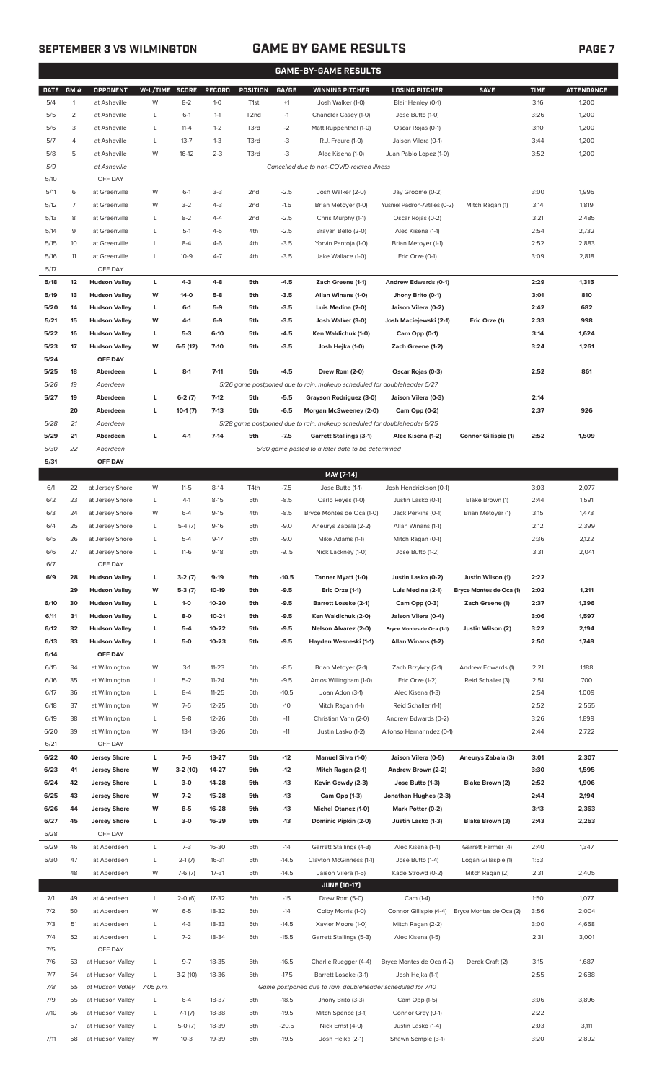## **SEPTEMBER 3 VS WILMINGTON GAME BY GAME RESULTS PAGE 7**

|             | <b>GAME-BY-GAME RESULTS</b> |                      |                |           |               |                  |         |                                                                         |                               |                             |             |                   |
|-------------|-----------------------------|----------------------|----------------|-----------|---------------|------------------|---------|-------------------------------------------------------------------------|-------------------------------|-----------------------------|-------------|-------------------|
| <b>DATE</b> | GM#                         | OPPONENT             | W-L/TIME SCORE |           | <b>RECORD</b> | POSITION         | GA/GB   | <b>WINNING PITCHER</b>                                                  | <b>LOSING PITCHER</b>         | <b>SAVE</b>                 | <b>TIME</b> | <b>ATTENDANCE</b> |
| 5/4         | $\mathbf{1}$                | at Asheville         | W              | $8 - 2$   | $1 - 0$       | T <sub>1st</sub> | $+1$    | Josh Walker (1-0)                                                       | Blair Henley (0-1)            |                             | 3:16        | 1,200             |
| 5/5         | $\overline{2}$              | at Asheville         | L              | $6-1$     | $1 - 1$       | T2nd             | $-1$    | Chandler Casey (1-0)                                                    | Jose Butto (1-0)              |                             | 3:26        | 1,200             |
| 5/6         | 3                           | at Asheville         | L              | $11 - 4$  | $1 - 2$       | T3rd             | $-2$    | Matt Ruppenthal (1-0)                                                   | Oscar Rojas (0-1)             |                             | 3:10        | 1,200             |
| 5/7         | 4                           | at Asheville         | L              | $13 - 7$  | $1 - 3$       | T3rd             | -3      | R.J. Freure (1-0)                                                       | Jaison Vilera (0-1)           |                             | 3:44        | 1,200             |
| 5/8         | 5                           | at Asheville         | W              | $16-12$   | $2 - 3$       | T3rd             | $-3$    | Alec Kisena (1-0)                                                       | Juan Pablo Lopez (1-0)        |                             | 3:52        | 1,200             |
| 5/9         |                             | at Asheville         |                |           |               |                  |         | Cancelled due to non-COVID-related illness                              |                               |                             |             |                   |
| 5/10        |                             | OFF DAY              |                |           |               |                  |         |                                                                         |                               |                             |             |                   |
| 5/11        | 6                           | at Greenville        | W              | $6-1$     | $3-3$         | 2 <sub>nd</sub>  | $-2.5$  | Josh Walker (2-0)                                                       | Jay Groome (0-2)              |                             | 3:00        | 1,995             |
| 5/12        | 7                           | at Greenville        | W              | $3 - 2$   | $4 - 3$       | 2 <sub>nd</sub>  | $-1.5$  | Brian Metoyer (1-0)                                                     | Yusniel Padron-Artilles (0-2) | Mitch Ragan (1)             | 3:14        | 1,819             |
| 5/13        | 8                           | at Greenville        | L              | $8 - 2$   | $4 - 4$       | 2 <sub>nd</sub>  | $-2.5$  | Chris Murphy (1-1)                                                      | Oscar Rojas (0-2)             |                             | 3:21        | 2,485             |
| 5/14        | 9                           | at Greenville        | L              | $5-1$     | $4 - 5$       | 4th              | $-2.5$  | Brayan Bello (2-0)                                                      | Alec Kisena (1-1)             |                             | 2:54        | 2,732             |
| 5/15        | 10                          | at Greenville        | L              | $8 - 4$   | $4-6$         | 4th              | $-3.5$  | Yorvin Pantoja (1-0)                                                    | Brian Metoyer (1-1)           |                             | 2:52        | 2,883             |
| 5/16        | 11                          | at Greenville        | L              | $10 - 9$  | $4 - 7$       | 4th              | $-3.5$  | Jake Wallace (1-0)                                                      | Eric Orze (0-1)               |                             | 3:09        | 2,818             |
| 5/17        |                             | OFF DAY              |                |           |               |                  |         |                                                                         |                               |                             |             |                   |
| 5/18        | 12                          | <b>Hudson Valley</b> | L              | $4-3$     | $4-8$         | 5th              | $-4.5$  | Zach Greene (1-1)                                                       | Andrew Edwards (0-1)          |                             | 2:29        | 1,315             |
| 5/19        | 13                          | <b>Hudson Valley</b> | W              | $14-0$    | $5-8$         | 5th              | $-3.5$  | Allan Winans (1-0)                                                      | Jhony Brito (0-1)             |                             | 3:01        | 810               |
| 5/20        | 14                          | <b>Hudson Valley</b> | L              | $6-1$     | $5-9$         | 5th              | $-3.5$  | Luis Medina (2-0)                                                       | Jaison Vilera (0-2)           |                             | 2:42        | 682               |
| 5/21        | 15                          | <b>Hudson Valley</b> | W              | $4-1$     | $6-9$         | 5th              | $-3.5$  | Josh Walker (3-0)                                                       | Josh Maciejewski (2-1)        | Eric Orze (1)               | 2:33        | 998               |
| 5/22        | 16                          | <b>Hudson Valley</b> | г              | $5-3$     | $6-10$        | 5th              | $-4.5$  | Ken Waldichuk (1-0)                                                     | Cam Opp (0-1)                 |                             | 3:14        | 1,624             |
| 5/23        | 17                          | <b>Hudson Valley</b> | W              | $6-5(12)$ | $7-10$        | 5th              | $-3.5$  | Josh Hejka (1-0)                                                        | Zach Greene (1-2)             |                             | 3:24        | 1,261             |
| 5/24        |                             | OFF DAY              |                |           |               |                  |         |                                                                         |                               |                             |             |                   |
| 5/25        | 18                          | Aberdeen             | L              | $8-1$     | $7 - 11$      | 5th              | $-4.5$  | Drew Rom (2-0)                                                          | Oscar Rojas (0-3)             |                             | 2:52        | 861               |
| 5/26        | 19                          | Aberdeen             |                |           |               |                  |         | 5/26 game postponed due to rain, makeup scheduled for doubleheader 5/27 |                               |                             |             |                   |
| 5/27        | 19                          | Aberdeen             | г              | $6-2(7)$  | $7-12$        | 5th              | $-5.5$  | Grayson Rodriguez (3-0)                                                 | Jaison Vilera (0-3)           |                             | 2:14        |                   |
|             | 20                          | Aberdeen             | L              | $10-1(7)$ | $7-13$        | 5th              | $-6.5$  | Morgan McSweeney (2-0)                                                  | Cam Opp (0-2)                 |                             | 2:37        | 926               |
| 5/28        | 21                          | Aberdeen             |                |           |               |                  |         | 5/28 game postponed due to rain, makeup scheduled for doubleheader 8/25 |                               |                             |             |                   |
| 5/29        | 21                          | Aberdeen             | L              | $4-1$     | $7-14$        | 5th              | $-7.5$  | <b>Garrett Stallings (3-1)</b>                                          | Alec Kisena (1-2)             | <b>Connor Gillispie (1)</b> | 2:52        | 1,509             |
| 5/30        | 22                          | Aberdeen             |                |           |               |                  |         | 5/30 game posted to a later date to be determined                       |                               |                             |             |                   |
| 5/31        |                             | OFF DAY              |                |           |               |                  |         |                                                                         |                               |                             |             |                   |
|             |                             |                      |                |           |               |                  |         | MAY [7-14]                                                              |                               |                             |             |                   |
| 6/1         | 22                          | at Jersey Shore      | W              | $11 - 5$  | $8-14$        | T4th             | $-7.5$  | Jose Butto (1-1)                                                        | Josh Hendrickson (0-1)        |                             | 3:03        | 2,077             |
| 6/2         | 23                          | at Jersey Shore      | L              | $4-1$     | $8 - 15$      | 5th              | $-8.5$  | Carlo Reyes (1-0)                                                       | Justin Lasko (0-1)            | Blake Brown (1)             | 2:44        | 1,591             |
| 6/3         | 24                          | at Jersey Shore      | W              | $6 - 4$   | $9 - 15$      | 4th              | $-8.5$  | Bryce Montes de Oca (1-0)                                               | Jack Perkins (0-1)            | Brian Metoyer (1)           | 3:15        | 1,473             |
| 6/4         | 25                          | at Jersey Shore      | L              | $5-4(7)$  | $9-16$        | 5th              | $-9.0$  | Aneurys Zabala (2-2)                                                    | Allan Winans (1-1)            |                             | 2:12        | 2,399             |
| 6/5         | 26                          | at Jersey Shore      | L              | $5 - 4$   | $9 - 17$      | 5th              | $-9.0$  | Mike Adams (1-1)                                                        | Mitch Ragan (0-1)             |                             | 2:36        | 2,122             |
| 6/6         | 27                          | at Jersey Shore      | L              | $11-6$    | $9-18$        | 5th              | $-9.5$  | Nick Lackney (1-0)                                                      | Jose Butto (1-2)              |                             | 3:31        | 2,041             |
| 6/7         |                             | OFF DAY              |                |           |               |                  |         |                                                                         |                               |                             |             |                   |
| 6/9         | 28                          | <b>Hudson Valley</b> | L              | $3-2(7)$  | $9-19$        | 5th              | $-10.5$ | Tanner Myatt (1-0)                                                      | Justin Lasko (0-2)            | Justin Wilson (1)           | 2:22        |                   |
|             | 29                          | <b>Hudson Valley</b> | W              | $5-3(7)$  | 10-19         | 5th              | $-9.5$  | Eric Orze (1-1)                                                         | Luis Medina (2-1)             | Bryce Montes de Oca (1)     | 2:02        | 1,211             |
| 6/10        | 30                          | <b>Hudson Valley</b> | L              | $1-0$     | 10-20         | 5th              | $-9.5$  | <b>Barrett Loseke (2-1)</b>                                             | Cam Opp (0-3)                 | Zach Greene (1)             | 2:37        | 1,396             |
| 6/11        | 31                          | <b>Hudson Valley</b> | г              | $8-0$     | $10 - 21$     | 5th              | $-9.5$  | Ken Waldichuk (2-0)                                                     | Jaison Vilera (0-4)           |                             | 3:06        | 1,597             |
| 6/12        | 32                          | <b>Hudson Valley</b> | г              | $5-4$     | 10-22         | 5th              | $-9.5$  | Nelson Alvarez (2-0)                                                    | Bryce Montes de Oca (1-1)     | Justin Wilson (2)           | 3:22        | 2,194             |
| 6/13        | 33                          | <b>Hudson Valley</b> | L              | $5-0$     | $10 - 23$     | 5th              | $-9.5$  | Hayden Wesneski (1-1)                                                   | Allan Winans (1-2)            |                             | 2:50        | 1,749             |
| 6/14        |                             | OFF DAY              |                |           |               |                  |         |                                                                         |                               |                             |             |                   |
| 6/15        | 34                          | at Wilmington        | W              | $3-1$     | $11 - 23$     | 5th              | $-8.5$  | Brian Metoyer (2-1)                                                     | Zach Brzykcy (2-1)            | Andrew Edwards (1)          | 2:21        | 1,188             |
| 6/16        | 35                          | at Wilmington        | L              | $5 - 2$   | $11 - 24$     | 5th              | $-9.5$  | Amos Willingham (1-0)                                                   | Eric Orze (1-2)               | Reid Schaller (3)           | 2:51        | 700               |
| 6/17        | 36                          | at Wilmington        | L              | $8 - 4$   | $11 - 25$     | 5th              | $-10.5$ | Joan Adon (3-1)                                                         | Alec Kisena (1-3)             |                             | 2:54        | 1,009             |
| 6/18        | 37                          | at Wilmington        | W              | $7 - 5$   | $12 - 25$     | 5th              | $-10$   | Mitch Ragan (1-1)                                                       | Reid Schaller (1-1)           |                             | 2:52        | 2,565             |
| 6/19        | 38                          | at Wilmington        | L              | $9 - 8$   | $12 - 26$     | 5th              | $-11$   | Christian Vann (2-0)                                                    | Andrew Edwards (0-2)          |                             | 3:26        | 1,899             |
| 6/20        | 39                          | at Wilmington        | W              | $13-1$    | 13-26         | 5th              | $-11$   | Justin Lasko (1-2)                                                      | Alfonso Hernanndez (0-1)      |                             | 2:44        | 2,722             |
| 6/21        |                             | OFF DAY              |                |           |               |                  |         |                                                                         |                               |                             |             |                   |
| 6/22        | 40                          | <b>Jersey Shore</b>  | L              | $7-5$     | 13-27         | 5th              | -12     | <b>Manuel Silva (1-0)</b>                                               | Jaison Vilera (0-5)           | Aneurys Zabala (3)          | 3:01        | 2,307             |
| 6/23        | 41                          | <b>Jersey Shore</b>  | W              | $3-2(10)$ | 14-27         | 5th              | -12     | Mitch Ragan (2-1)                                                       | Andrew Brown (2-2)            |                             | 3:30        | 1,595             |
| 6/24        | 42                          | <b>Jersey Shore</b>  | L              | $3-0$     | 14-28         | 5th              | -13     | Kevin Gowdy (2-3)                                                       | Jose Butto (1-3)              | Blake Brown (2)             | 2:52        | 1,906             |
| 6/25        | 43                          | <b>Jersey Shore</b>  | W              | $7-2$     | 15-28         | 5th              | -13     | Cam Opp (1-3)                                                           | Jonathan Hughes (2-3)         |                             | 2:44        | 2,194             |
| 6/26        | 44                          | <b>Jersey Shore</b>  | W              | $8-5$     | 16-28         | 5th              | -13     | Michel Otanez (1-0)                                                     | Mark Potter (0-2)             |                             | 3:13        | 2,363             |
| 6/27        | 45                          | <b>Jersey Shore</b>  | L              | $3-0$     | 16-29         | 5th              | -13     | Dominic Pipkin (2-0)                                                    | Justin Lasko (1-3)            | Blake Brown (3)             | 2:43        | 2,253             |
| 6/28        |                             | OFF DAY              |                |           |               |                  |         |                                                                         |                               |                             |             |                   |
| 6/29        | 46                          | at Aberdeen          | L              | $7-3$     | 16-30         | 5th              | $-14$   | Garrett Stallings (4-3)                                                 | Alec Kisena (1-4)             | Garrett Farmer (4)          | 2:40        | 1,347             |
| 6/30        | 47                          | at Aberdeen          | L              | $2-1(7)$  | 16-31         | 5th              | $-14.5$ | Clayton McGinness (1-1)                                                 | Jose Butto (1-4)              | Logan Gillaspie (1)         | 1:53        |                   |
|             | 48                          | at Aberdeen          | W              | $7-6(7)$  | $17 - 31$     | 5th              | $-14.5$ | Jaison Vilera (1-5)                                                     | Kade Strowd (0-2)             | Mitch Ragan (2)             | 2:31        | 2,405             |
|             |                             |                      |                |           |               |                  |         | <b>JUNE (10-17)</b>                                                     |                               |                             |             |                   |
| 7/1         | 49                          | at Aberdeen          | L              | $2-0(6)$  | 17-32         | 5th              | $-15$   | Drew Rom (5-0)                                                          | Cam (1-4)                     |                             | 1:50        | 1,077             |
| 7/2         | 50                          | at Aberdeen          | W              | $6 - 5$   | 18-32         | 5th              | $-14$   | Colby Morris (1-0)                                                      | Connor Gillispie (4-4)        | Bryce Montes de Oca (2)     | 3:56        | 2,004             |
| 7/3         | 51                          | at Aberdeen          | L              | $4 - 3$   | 18-33         | 5th              | $-14.5$ | Xavier Moore (1-0)                                                      | Mitch Ragan (2-2)             |                             | 3:00        | 4,668             |
| 7/4         | 52                          | at Aberdeen          | L              | $7 - 2$   | 18-34         | 5th              | $-15.5$ | Garrett Stallings (5-3)                                                 | Alec Kisena (1-5)             |                             | 2:31        | 3,001             |
| 7/5         |                             | OFF DAY              |                |           |               |                  |         |                                                                         |                               |                             |             |                   |
| 7/6         | 53                          | at Hudson Valley     | L              | $9 - 7$   | 18-35         | 5th              | $-16.5$ | Charlie Ruegger (4-4)                                                   | Bryce Montes de Oca (1-2)     | Derek Craft (2)             | 3:15        | 1,687             |
| 7/7         | 54                          | at Hudson Valley     | L              | $3-2(10)$ | 18-36         | 5th              | $-17.5$ | Barrett Loseke (3-1)                                                    | Josh Hejka (1-1)              |                             | 2:55        | 2,688             |
| 7/8         | 55                          | at Hudson Valley     | 7:05 p.m.      |           |               |                  |         | Game postponed due to rain, doubleheader scheduled for 7/10             |                               |                             |             |                   |
| 7/9         | 55                          | at Hudson Valley     | L              | $6 - 4$   | 18-37         | 5th              | $-18.5$ | Jhony Brito (3-3)                                                       | Cam Opp (1-5)                 |                             | 3:06        | 3,896             |
| 7/10        | 56                          | at Hudson Valley     | L              | $7-1(7)$  | 18-38         | 5th              | $-19.5$ | Mitch Spence (3-1)                                                      | Connor Grey (0-1)             |                             | 2:22        |                   |
|             | 57                          | at Hudson Valley     | L              | $5-0(7)$  | 18-39         | 5th              | $-20.5$ | Nick Ernst (4-0)                                                        | Justin Lasko (1-4)            |                             | 2:03        | 3,111             |

7/11 58 at Hudson Valley W 10-3 19-39 5th -19.5 Josh Hejka (2-1) Shawn Semple (3-1) 3:20 2,892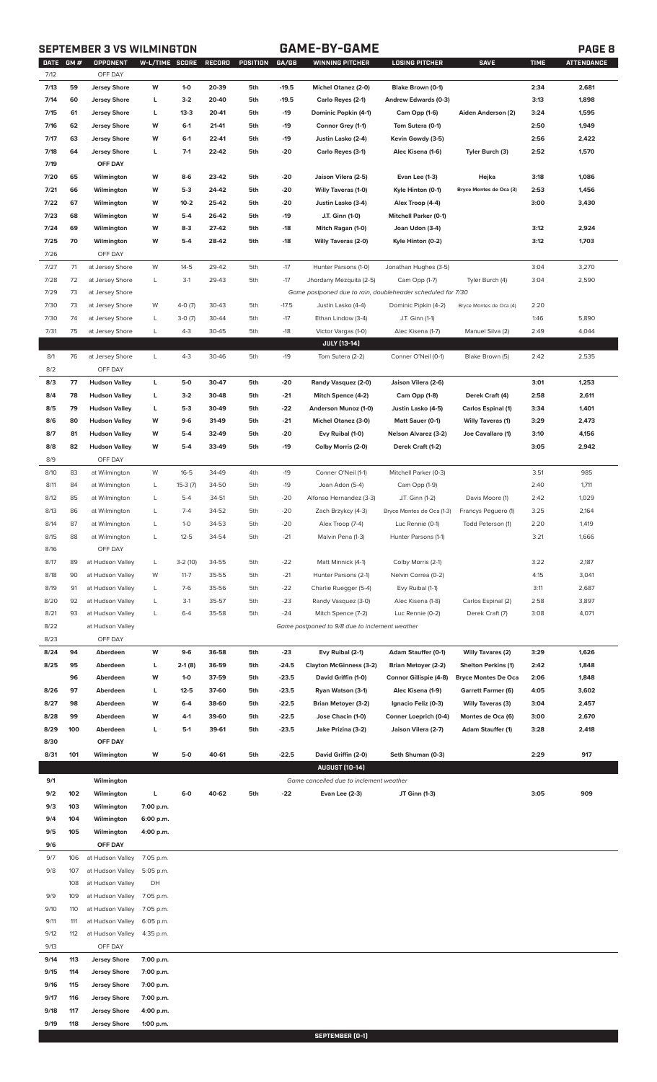## **SEPTEMBER 3 VS WILMINGTON GAME-BY-GAME PAGE 8**

| <b>DATE</b> | <b>GM#</b> | OPPONENT             | W-L/TIME SCORE |           | <b>RECORD</b> | POSITION | GA/GB   | <b>WINNING PITCHER</b>                                      | LOSING PITCHER               | <b>SAVE</b>                | <b>TIME</b> | <b>ATTENDANCE</b> |
|-------------|------------|----------------------|----------------|-----------|---------------|----------|---------|-------------------------------------------------------------|------------------------------|----------------------------|-------------|-------------------|
| 7/12        |            | OFF DAY              |                |           |               |          |         |                                                             |                              |                            |             |                   |
| 7/13        | 59         | <b>Jersey Shore</b>  | W              | $1-0$     | 20-39         | 5th      | $-19.5$ | Michel Otanez (2-0)                                         | Blake Brown (0-1)            |                            | 2:34        | 2,681             |
| 7/14        | 60         | <b>Jersey Shore</b>  | г              | $3-2$     | 20-40         | 5th      | $-19.5$ | Carlo Reyes (2-1)                                           | Andrew Edwards (0-3)         |                            | 3:13        | 1,898             |
| 7/15        | 61         | <b>Jersey Shore</b>  | г              | $13-3$    | 20-41         | 5th      | $-19$   | Dominic Popkin (4-1)                                        | Cam Opp (1-6)                | Aiden Anderson (2)         | 3:24        | 1,595             |
| 7/16        | 62         | <b>Jersey Shore</b>  | W              | $6-1$     | 21-41         | 5th      | -19     | Connor Grey (1-1)                                           | Tom Sutera (0-1)             |                            | 2:50        | 1,949             |
|             |            |                      |                |           |               |          |         |                                                             |                              |                            |             |                   |
| 7/17        | 63         | <b>Jersey Shore</b>  | W              | $6 - 1$   | 22-41         | 5th      | $-19$   | Justin Lasko (2-4)                                          | Kevin Gowdy (3-5)            |                            | 2:56        | 2,422             |
| 7/18        | 64         | <b>Jersey Shore</b>  | г              | $7-1$     | 22-42         | 5th      | -20     | Carlo Reyes (3-1)                                           | Alec Kisena (1-6)            | Tyler Burch (3)            | 2:52        | 1,570             |
| 7/19        |            | OFF DAY              |                |           |               |          |         |                                                             |                              |                            |             |                   |
| 7/20        | 65         | Wilmington           | W              | $8-6$     | 23-42         | 5th      | $-20$   | Jaison Vilera (2-5)                                         | Evan Lee (1-3)               | Hejka                      | 3:18        | 1,086             |
| 7/21        | 66         | Wilmington           | W              | $5-3$     | 24-42         | 5th      | $-20$   | <b>Willy Taveras (1-0)</b>                                  | Kyle Hinton (0-1)            | Bryce Montes de Oca (3)    | 2:53        | 1,456             |
| 7/22        | 67         | Wilmington           | W              | $10 - 2$  | 25-42         | 5th      | $-20$   | Justin Lasko (3-4)                                          | Alex Troop (4-4)             |                            | 3:00        | 3,430             |
|             |            |                      |                |           |               |          |         |                                                             |                              |                            |             |                   |
| 7/23        | 68         | Wilmington           | W              | $5-4$     | 26-42         | 5th      | -19     | J.T. Ginn (1-0)                                             | <b>Mitchell Parker (0-1)</b> |                            |             |                   |
| 7/24        | 69         | Wilmington           | W              | $8-3$     | 27-42         | 5th      | -18     | Mitch Ragan (1-0)                                           | Joan Udon (3-4)              |                            | 3:12        | 2,924             |
| 7/25        | 70         | Wilmington           | W              | $5-4$     | 28-42         | 5th      | $-18$   | <b>Willy Taveras (2-0)</b>                                  | Kyle Hinton (0-2)            |                            | 3:12        | 1,703             |
| 7/26        |            | OFF DAY              |                |           |               |          |         |                                                             |                              |                            |             |                   |
| 7/27        | 71         | at Jersey Shore      | W              | $14 - 5$  | 29-42         | 5th      | $-17$   | Hunter Parsons (1-0)                                        | Jonathan Hughes (3-5)        |                            | 3:04        | 3,270             |
| 7/28        | 72         | at Jersey Shore      | L              | $3-1$     | 29-43         | 5th      | $-17$   | Jhordany Mezquita (2-5)                                     | Cam Opp (1-7)                | Tyler Burch (4)            | 3:04        | 2,590             |
|             |            |                      |                |           |               |          |         |                                                             |                              |                            |             |                   |
| 7/29        | 73         | at Jersey Shore      |                |           |               |          |         | Game postponed due to rain, doubleheader scheduled for 7/30 |                              |                            |             |                   |
| 7/30        | 73         | at Jersey Shore      | W              | $4-0(7)$  | 30-43         | 5th      | $-17.5$ | Justin Lasko (4-4)                                          | Dominic Pipkin (4-2)         | Bryce Montes de Oca (4)    | 2:20        |                   |
| 7/30        | 74         | at Jersey Shore      | L              | $3-0(7)$  | 30-44         | 5th      | $-17$   | Ethan Lindow (3-4)                                          | J.T. Ginn (1-1)              |                            | 1:46        | 5,890             |
| 7/31        | 75         | at Jersey Shore      | L              | $4 - 3$   | 30-45         | 5th      | $-18$   | Victor Vargas (1-0)                                         | Alec Kisena (1-7)            | Manuel Silva (2)           | 2:49        | 4,044             |
|             |            |                      |                |           |               |          |         | <b>JULY [13-14]</b>                                         |                              |                            |             |                   |
| 8/1         | 76         | at Jersey Shore      | L              | $4 - 3$   | 30-46         | 5th      | $-19$   | Tom Sutera (2-2)                                            | Conner O'Neil (0-1)          | Blake Brown (5)            | 2:42        | 2,535             |
|             |            | OFF DAY              |                |           |               |          |         |                                                             |                              |                            |             |                   |
| 8/2         |            |                      |                |           |               |          |         |                                                             |                              |                            |             |                   |
| 8/3         | 77         | <b>Hudson Valley</b> | г              | 5-0       | 30-47         | 5th      | $-20$   | Randy Vasquez (2-0)                                         | Jaison Vilera (2-6)          |                            | 3:01        | 1,253             |
| 8/4         | 78         | <b>Hudson Valley</b> | г              | $3-2$     | 30-48         | 5th      | $-21$   | Mitch Spence (4-2)                                          | Cam Opp (1-8)                | Derek Craft (4)            | 2:58        | 2,611             |
| 8/5         | 79         | <b>Hudson Valley</b> | г              | $5-3$     | 30-49         | 5th      | -22     | Anderson Munoz (1-0)                                        | Justin Lasko (4-5)           | Carlos Espinal (1)         | 3:34        | 1,401             |
| 8/6         | 80         | <b>Hudson Valley</b> | W              | $9-6$     | 31-49         | 5th      | $-21$   | Michel Otanez (3-0)                                         | Matt Sauer (0-1)             | <b>Willy Taveras (1)</b>   | 3:29        | 2,473             |
| 8/7         | 81         | <b>Hudson Valley</b> | W              | $5-4$     | 32-49         | 5th      | $-20$   | Evy Ruibal (1-0)                                            | <b>Nelson Alvarez (3-2)</b>  | Joe Cavallaro (1)          | 3:10        | 4,156             |
|             |            |                      |                |           |               |          |         |                                                             |                              |                            |             |                   |
| 8/8         | 82         | <b>Hudson Valley</b> | W              | $5-4$     | 33-49         | 5th      | -19     | Colby Morris (2-0)                                          | Derek Craft (1-2)            |                            | 3:05        | 2,942             |
| 8/9         |            | OFF DAY              |                |           |               |          |         |                                                             |                              |                            |             |                   |
| 8/10        | 83         | at Wilmington        | W              | $16 - 5$  | 34-49         | 4th      | $-19$   | Conner O'Neil (1-1)                                         | Mitchell Parker (0-3)        |                            | 3:51        | 985               |
| 8/11        | 84         | at Wilmington        | L              | $15-3(7)$ | 34-50         | 5th      | $-19$   | Joan Adon (5-4)                                             | Cam Opp (1-9)                |                            | 2:40        | 1,711             |
| 8/12        | 85         | at Wilmington        | L              | $5 - 4$   | 34-51         | 5th      | $-20$   | Alfonso Hernandez (3-3)                                     | J.T. Ginn (1-2)              | Davis Moore (1)            | 2:42        | 1,029             |
| 8/13        | 86         | at Wilmington        | L              | $7 - 4$   | 34-52         | 5th      | $-20$   | Zach Brzykcy (4-3)                                          | Bryce Montes de Oca (1-3)    | Francys Peguero (1)        | 3:25        | 2,164             |
|             |            |                      |                |           |               |          |         |                                                             |                              |                            |             |                   |
| 8/14        | 87         | at Wilmington        | L              | $1-0$     | 34-53         | 5th      | $-20$   | Alex Troop (7-4)                                            | Luc Rennie (0-1)             | Todd Peterson (1)          | 2:20        | 1,419             |
| 8/15        | 88         | at Wilmington        | L              | $12 - 5$  | 34-54         | 5th      | $-21$   | Malvin Pena (1-3)                                           | Hunter Parsons (1-1)         |                            | 3:21        | 1,666             |
| 8/16        |            | OFF DAY              |                |           |               |          |         |                                                             |                              |                            |             |                   |
| 8/17        | 89         | at Hudson Valley     | L              | $3-2(10)$ | 34-55         | 5th      | -22     | Matt Minnick (4-1)                                          | Colby Morris (2-1)           |                            | 3:22        | 2,187             |
| 8/18        | 90         | at Hudson Valley     | W              | $11 - 7$  | 35-55         | 5th      | $-21$   | Hunter Parsons (2-1)                                        | Nelvin Correa (0-2)          |                            | 4:15        | 3,041             |
| 8/19        | 91         | at Hudson Valley     | L              | $7-6$     | 35-56         | 5th      | $-22$   | Charlie Ruegger (5-4)                                       | Evy Ruibal (1-1)             |                            | 3:11        | 2,687             |
|             |            |                      |                |           |               |          |         |                                                             |                              |                            |             |                   |
| 8/20        | 92         | at Hudson Valley     | L              | $3-1$     | 35-57         | 5th      | $-23$   | Randy Vasquez (3-0)                                         | Alec Kisena (1-8)            | Carlos Espinal (2)         | 2:58        | 3,897             |
| 8/21        | 93         | at Hudson Valley     | L              | $6 - 4$   | 35-58         | 5th      | $-24$   | Mitch Spence (7-2)                                          | Luc Rennie (0-2)             | Derek Craft (7)            | 3:08        | 4,071             |
| 8/22        |            | at Hudson Valley     |                |           |               |          |         | Game postponed to 9/8 due to inclement weather              |                              |                            |             |                   |
| 8/23        |            | OFF DAY              |                |           |               |          |         |                                                             |                              |                            |             |                   |
| 8/24        | 94         | Aberdeen             | W              | $9-6$     | 36-58         | 5th      | $-23$   | Evy Ruibal (2-1)                                            | Adam Stauffer (0-1)          | <b>Willy Tavares (2)</b>   | 3:29        | 1,626             |
| 8/25        | 95         | Aberdeen             | г              | $2-1(8)$  | 36-59         | 5th      | $-24.5$ | <b>Clayton McGinness (3-2)</b>                              | <b>Brian Metoyer (2-2)</b>   | <b>Shelton Perkins (1)</b> | 2:42        | 1,848             |
|             |            |                      |                |           |               |          |         |                                                             |                              |                            |             |                   |
|             | 96         | Aberdeen             | W              | $1-0$     | 37-59         | 5th      | $-23.5$ | David Griffin (1-0)                                         | Connor Gillispie (4-8)       | <b>Bryce Montes De Oca</b> | 2:06        | 1,848             |
| 8/26        | 97         | Aberdeen             | г              | $12 - 5$  | 37-60         | 5th      | $-23.5$ | Ryan Watson (3-1)                                           | Alec Kisena (1-9)            | <b>Garrett Farmer (6)</b>  | 4:05        | 3,602             |
| 8/27        | 98         | Aberdeen             | W              | $6-4$     | 38-60         | 5th      | $-22.5$ | <b>Brian Metoyer (3-2)</b>                                  | Ignacio Feliz (0-3)          | <b>Willy Taveras (3)</b>   | 3:04        | 2,457             |
| 8/28        | 99         | Aberdeen             | W              | $4-1$     | 39-60         | 5th      | $-22.5$ | Jose Chacin (1-0)                                           | Conner Loeprich (0-4)        | Montes de Oca (6)          | 3:00        | 2,670             |
| 8/29        | 100        | Aberdeen             | г              | $5-1$     | 39-61         | 5th      | $-23.5$ | Jake Prizina (3-2)                                          | Jaison Vilera (2-7)          | <b>Adam Stauffer (1)</b>   | 3:28        | 2,418             |
| 8/30        |            | OFF DAY              |                |           |               |          |         |                                                             |                              |                            |             |                   |
| 8/31        | 101        | Wilmington           | W              | $5-0$     | 40-61         | 5th      | $-22.5$ | David Griffin (2-0)                                         | Seth Shuman (0-3)            |                            | 2:29        | 917               |
|             |            |                      |                |           |               |          |         |                                                             |                              |                            |             |                   |
|             |            |                      |                |           |               |          |         | <b>AUGUST [10-14]</b>                                       |                              |                            |             |                   |
| 9/1         |            | Wilmington           |                |           |               |          |         | Game cancelled due to inclement weather                     |                              |                            |             |                   |
| 9/2         | 102        | Wilmington           | L              | $6-0$     | 40-62         | 5th      | -22     | Evan Lee (2-3)                                              | JT Ginn (1-3)                |                            | 3:05        | 909               |
| 9/3         | 103        | Wilmington           | 7:00 p.m.      |           |               |          |         |                                                             |                              |                            |             |                   |
| 9/4         | 104        | Wilmington           | 6:00 p.m.      |           |               |          |         |                                                             |                              |                            |             |                   |
| 9/5         | 105        | Wilmington           | 4:00 p.m.      |           |               |          |         |                                                             |                              |                            |             |                   |
|             |            |                      |                |           |               |          |         |                                                             |                              |                            |             |                   |
| 9/6         |            | OFF DAY              |                |           |               |          |         |                                                             |                              |                            |             |                   |
| 9/7         | 106        | at Hudson Valley     | 7:05 p.m.      |           |               |          |         |                                                             |                              |                            |             |                   |
| 9/8         | 107        | at Hudson Valley     | 5:05 p.m.      |           |               |          |         |                                                             |                              |                            |             |                   |
|             | 108        | at Hudson Valley     | DH             |           |               |          |         |                                                             |                              |                            |             |                   |
| 9/9         | 109        | at Hudson Valley     | 7:05 p.m.      |           |               |          |         |                                                             |                              |                            |             |                   |
| 9/10        | 110        | at Hudson Valley     | 7:05 p.m.      |           |               |          |         |                                                             |                              |                            |             |                   |
|             |            |                      |                |           |               |          |         |                                                             |                              |                            |             |                   |
| 9/11        | 111        | at Hudson Valley     | 6:05 p.m.      |           |               |          |         |                                                             |                              |                            |             |                   |
| 9/12        | 112        | at Hudson Valley     | 4:35 p.m.      |           |               |          |         |                                                             |                              |                            |             |                   |
| 9/13        |            | OFF DAY              |                |           |               |          |         |                                                             |                              |                            |             |                   |
| 9/14        | 113        | <b>Jersey Shore</b>  | 7:00 p.m.      |           |               |          |         |                                                             |                              |                            |             |                   |
| 9/15        | 114        | <b>Jersey Shore</b>  | 7:00 p.m.      |           |               |          |         |                                                             |                              |                            |             |                   |
| 9/16        | 115        | <b>Jersey Shore</b>  | 7:00 p.m.      |           |               |          |         |                                                             |                              |                            |             |                   |
| 9/17        | 116        |                      |                |           |               |          |         |                                                             |                              |                            |             |                   |
|             |            | <b>Jersey Shore</b>  | 7:00 p.m.      |           |               |          |         |                                                             |                              |                            |             |                   |
| 9/18        | 117        | <b>Jersey Shore</b>  | 4:00 p.m.      |           |               |          |         |                                                             |                              |                            |             |                   |
|             |            |                      | 1:00 p.m.      |           |               |          |         |                                                             |                              |                            |             |                   |
| 9/19        | 118        | <b>Jersey Shore</b>  |                |           |               |          |         |                                                             |                              |                            |             |                   |